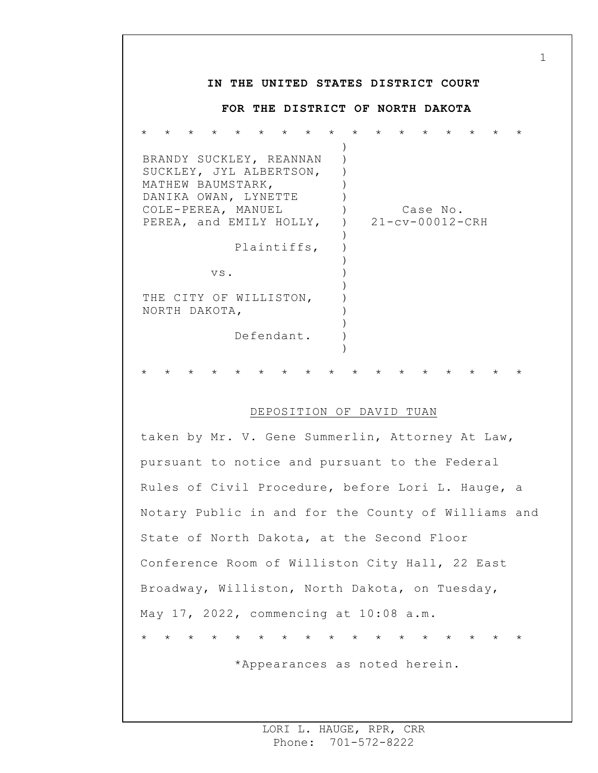## **IN THE UNITED STATES DISTRICT COURT FOR THE DISTRICT OF NORTH DAKOTA** \* \* \* \* \* \* \* \* \* \* \* \* \* \* \* \* \* BRANDY SUCKLEY, REANNAN SUCKLEY, JYL ALBERTSON, MATHEW BAUMSTARK, DANIKA OWAN, LYNETTE COLE-PEREA, MANUEL PEREA, and EMILY HOLLY, Plaintiffs, vs. THE CITY OF WILLISTON, NORTH DAKOTA, Defendant. ) ) ) )  $\left( \right)$  $)$  $\left( \right)$ )  $\left( \right)$ ) ) ) ) ) ) ) ) Case No. 21-cv-00012-CRH \* \* \* \* \* \* \* \* \* \* \* \* \* \* \* \* \*

## DEPOSITION OF DAVID TUAN

taken by Mr. V. Gene Summerlin, Attorney At Law, pursuant to notice and pursuant to the Federal Rules of Civil Procedure, before Lori L. Hauge, a Notary Public in and for the County of Williams and State of North Dakota, at the Second Floor Conference Room of Williston City Hall, 22 East Broadway, Williston, North Dakota, on Tuesday, May 17, 2022, commencing at 10:08 a.m. \* \* \* \* \* \* \* \* \* \* \* \* \* \* \* \* \*

\*Appearances as noted herein.

1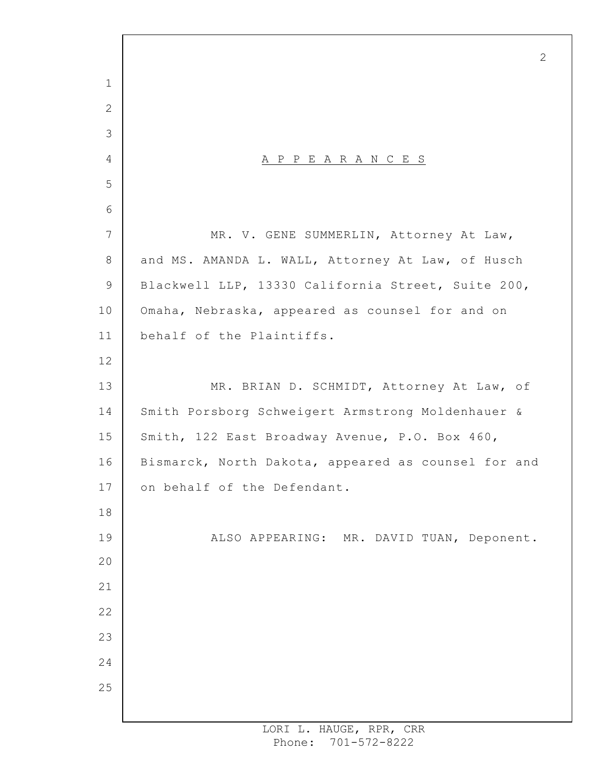A P P E A R A N C E S MR. V. GENE SUMMERLIN, Attorney At Law, and MS. AMANDA L. WALL, Attorney At Law, of Husch Blackwell LLP, 13330 California Street, Suite 200, Omaha, Nebraska, appeared as counsel for and on behalf of the Plaintiffs. MR. BRIAN D. SCHMIDT, Attorney At Law, of Smith Porsborg Schweigert Armstrong Moldenhauer & Smith, 122 East Broadway Avenue, P.O. Box 460, Bismarck, North Dakota, appeared as counsel for and on behalf of the Defendant. ALSO APPEARING: MR. DAVID TUAN, Deponent.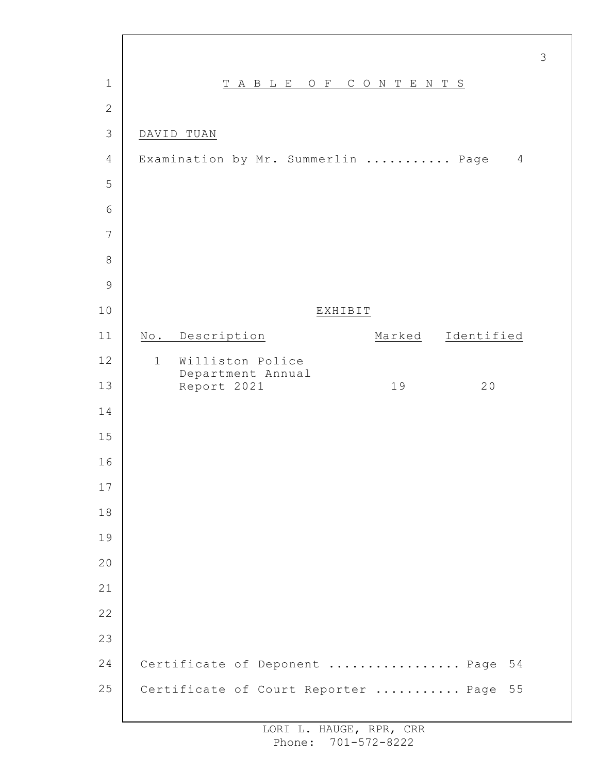| $\mathbf 1$    | TABLE OF CONTENTS                                     |        |                |
|----------------|-------------------------------------------------------|--------|----------------|
| $\mathbf{2}$   |                                                       |        |                |
| 3              | DAVID TUAN                                            |        |                |
| $\overline{4}$ | Examination by Mr. Summerlin  Page                    |        | $\overline{4}$ |
| 5              |                                                       |        |                |
| $6\,$          |                                                       |        |                |
| 7              |                                                       |        |                |
| 8              |                                                       |        |                |
| $\mathcal{G}$  |                                                       |        |                |
| 10             | EXHIBIT                                               |        |                |
| 11             | No. Description                                       | Marked | Identified     |
| 12             | Williston Police<br>$\mathbf{1}$<br>Department Annual |        |                |
| 13             | Report 2021                                           | 19     | 20             |
| 14             |                                                       |        |                |
| 15             |                                                       |        |                |
| 16             |                                                       |        |                |
| 17             |                                                       |        |                |
| 18             |                                                       |        |                |
| 19             |                                                       |        |                |
| 20             |                                                       |        |                |
| 21             |                                                       |        |                |
| 22             |                                                       |        |                |
| 23             |                                                       |        |                |
| 24             | Certificate of Deponent  Page                         |        | 54             |
| 25             | Certificate of Court Reporter  Page                   |        | 55             |
|                |                                                       |        |                |

 $\Gamma$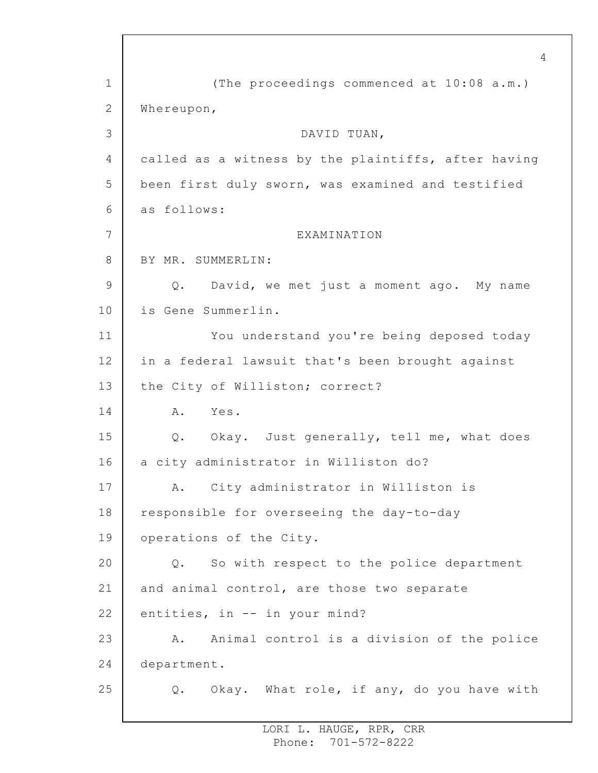1 2 3 4 5 6 7 8 9 10 11 12 13 14 15 16 17 18 19 20 21 22 23 24 25 4 (The proceedings commenced at 10:08 a.m.) Whereupon, DAVID TUAN, called as a witness by the plaintiffs, after having been first duly sworn, was examined and testified as follows: EXAMINATION BY MR. SUMMERLIN: Q. David, we met just a moment ago. My name is Gene Summerlin. You understand you're being deposed today in a federal lawsuit that's been brought against the City of Williston; correct? A. Yes. Q. Okay. Just generally, tell me, what does a city administrator in Williston do? A. City administrator in Williston is responsible for overseeing the day-to-day operations of the City. Q. So with respect to the police department and animal control, are those two separate entities, in -- in your mind? A. Animal control is a division of the police department. Q. Okay. What role, if any, do you have with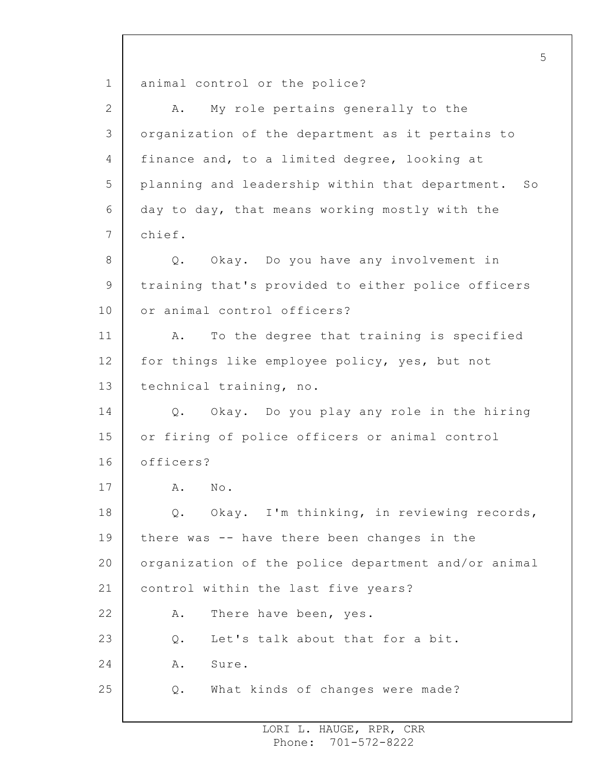1 2 3 4 5 6 7 8 9 10 11 12 13 14 15 16 17 18 19 20 21 22 23 24 25 5 animal control or the police? A. My role pertains generally to the organization of the department as it pertains to finance and, to a limited degree, looking at planning and leadership within that department. So day to day, that means working mostly with the chief. Q. Okay. Do you have any involvement in training that's provided to either police officers or animal control officers? A. To the degree that training is specified for things like employee policy, yes, but not technical training, no. Q. Okay. Do you play any role in the hiring or firing of police officers or animal control officers? A. No. Q. Okay. I'm thinking, in reviewing records, there was -- have there been changes in the organization of the police department and/or animal control within the last five years? A. There have been, yes. Q. Let's talk about that for a bit. A. Sure. Q. What kinds of changes were made?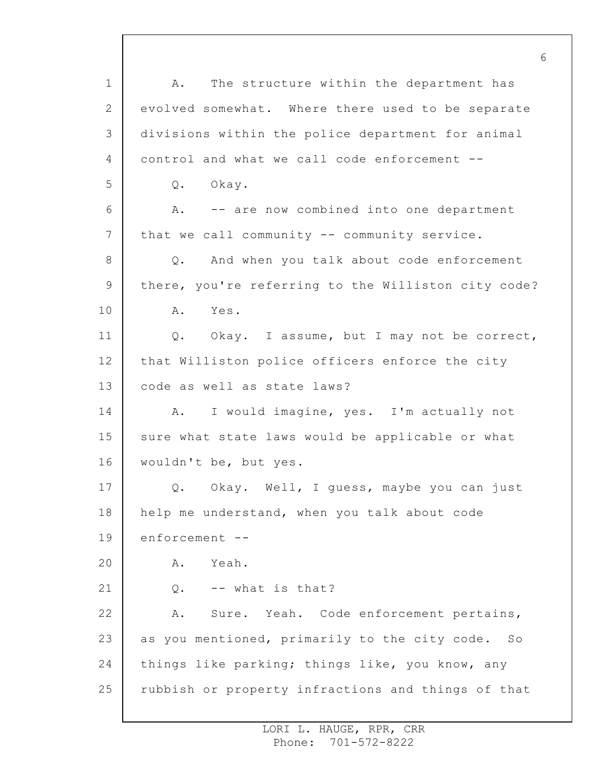1 2 3 4 5 6 7 8 9 10 11 12 13 14 15 16 17 18 19 20 21 22 23 24 25 A. The structure within the department has evolved somewhat. Where there used to be separate divisions within the police department for animal control and what we call code enforcement -- Q. Okay. A. -- are now combined into one department that we call community -- community service. Q. And when you talk about code enforcement there, you're referring to the Williston city code? A. Yes. Q. Okay. I assume, but I may not be correct, that Williston police officers enforce the city code as well as state laws? A. I would imagine, yes. I'm actually not sure what state laws would be applicable or what wouldn't be, but yes. Q. Okay. Well, I guess, maybe you can just help me understand, when you talk about code enforcement -- A. Yeah.  $0. - -$  what is that? A. Sure. Yeah. Code enforcement pertains, as you mentioned, primarily to the city code. So things like parking; things like, you know, any rubbish or property infractions and things of that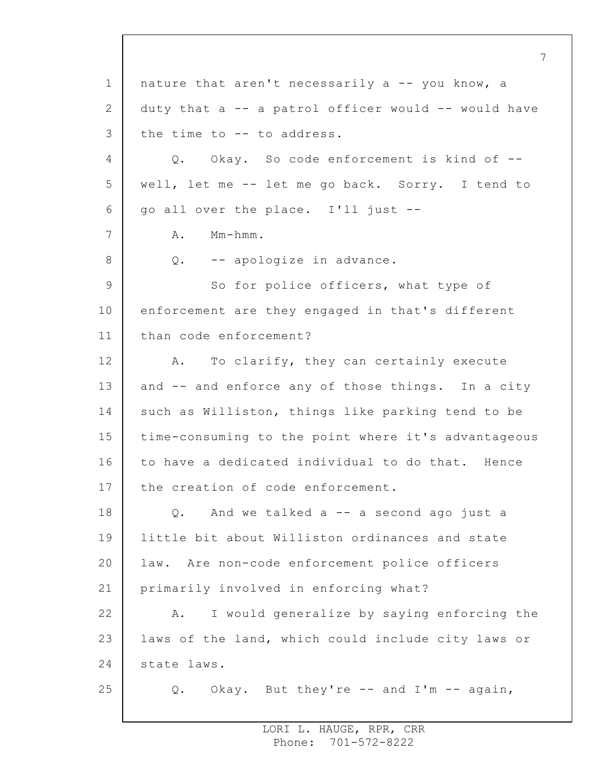1 2 3 4 5 6 7 8 9 10 11 12 13 14 15 16 17 18 19 20 21 22 23 24 25 7 nature that aren't necessarily a -- you know, a duty that  $a$  -- a patrol officer would -- would have the time to -- to address. Q. Okay. So code enforcement is kind of - well, let me -- let me go back. Sorry. I tend to go all over the place. I'll just -- A. Mm-hmm. Q. -- apologize in advance. So for police officers, what type of enforcement are they engaged in that's different than code enforcement? A. To clarify, they can certainly execute and -- and enforce any of those things. In a city such as Williston, things like parking tend to be time-consuming to the point where it's advantageous to have a dedicated individual to do that. Hence the creation of code enforcement. Q. And we talked a -- a second ago just a little bit about Williston ordinances and state law. Are non-code enforcement police officers primarily involved in enforcing what? A. I would generalize by saying enforcing the laws of the land, which could include city laws or state laws. Q. Okay. But they're -- and I'm -- again,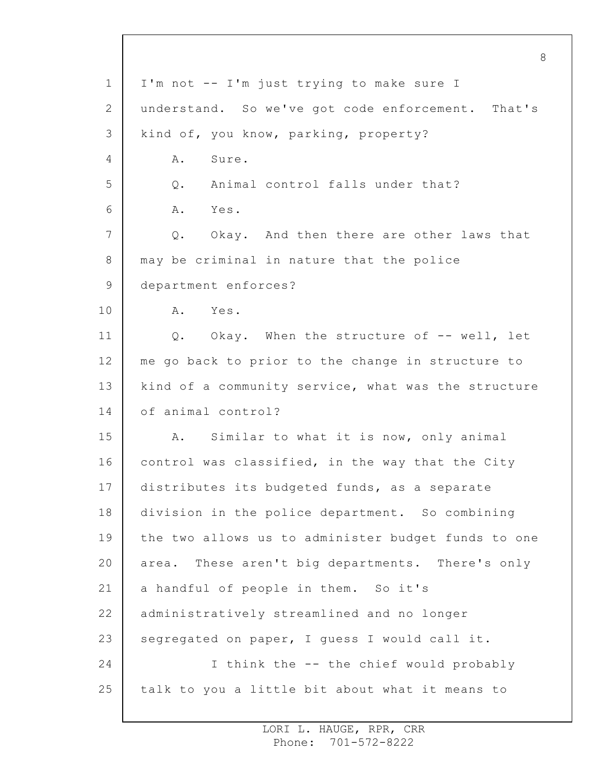1 2 3 4 5 6 7 8 9 10 11 12 13 14 15 16 17 18 19 20 21 22 23 24 25 8 I'm not -- I'm just trying to make sure I understand. So we've got code enforcement. That's kind of, you know, parking, property? A. Sure. Q. Animal control falls under that? A. Yes. Q. Okay. And then there are other laws that may be criminal in nature that the police department enforces? A. Yes. Q. Okay. When the structure of -- well, let me go back to prior to the change in structure to kind of a community service, what was the structure of animal control? A. Similar to what it is now, only animal control was classified, in the way that the City distributes its budgeted funds, as a separate division in the police department. So combining the two allows us to administer budget funds to one area. These aren't big departments. There's only a handful of people in them. So it's administratively streamlined and no longer segregated on paper, I guess I would call it. I think the -- the chief would probably talk to you a little bit about what it means to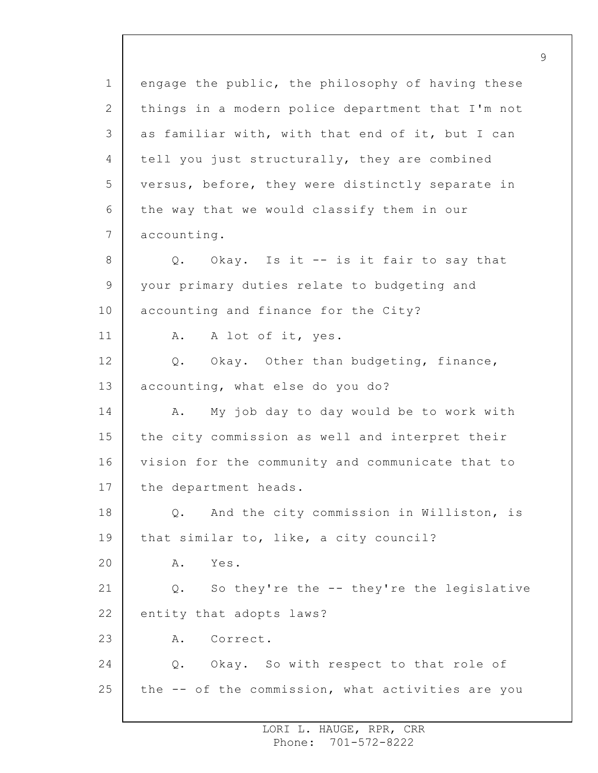1 2 3 4 5 6 7 8 9 10 11 12 13 14 15 16 17 18 19 20 21 22 23 24 25 engage the public, the philosophy of having these things in a modern police department that I'm not as familiar with, with that end of it, but I can tell you just structurally, they are combined versus, before, they were distinctly separate in the way that we would classify them in our accounting. Q. Okay. Is it -- is it fair to say that your primary duties relate to budgeting and accounting and finance for the City? A. A lot of it, yes. Q. Okay. Other than budgeting, finance, accounting, what else do you do? A. My job day to day would be to work with the city commission as well and interpret their vision for the community and communicate that to the department heads. Q. And the city commission in Williston, is that similar to, like, a city council? A. Yes. Q. So they're the -- they're the legislative entity that adopts laws? A. Correct. Q. Okay. So with respect to that role of the -- of the commission, what activities are you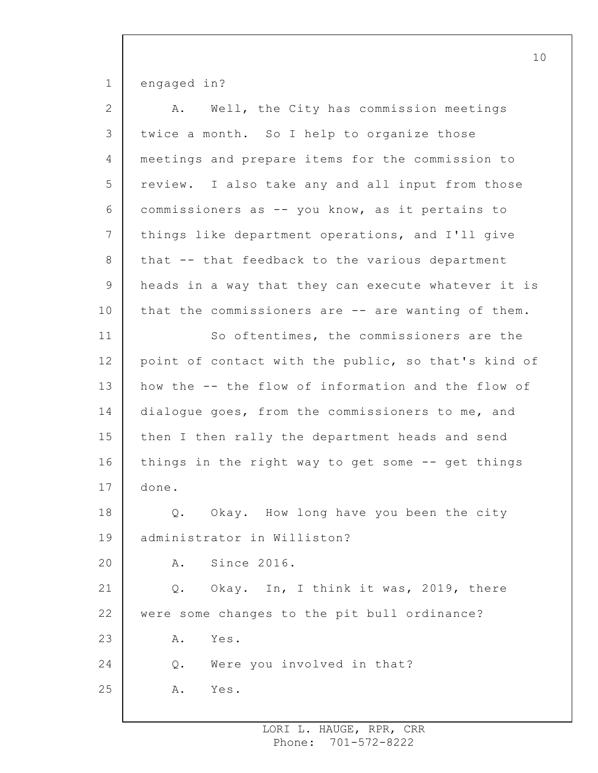1 engaged in?

| $\overline{2}$ | Well, the City has commission meetings<br>Α.        |
|----------------|-----------------------------------------------------|
| 3              | twice a month. So I help to organize those          |
| 4              | meetings and prepare items for the commission to    |
| 5              | review. I also take any and all input from those    |
| 6              | commissioners as -- you know, as it pertains to     |
| 7              | things like department operations, and I'll give    |
| $8\,$          | that -- that feedback to the various department     |
| $\mathsf 9$    | heads in a way that they can execute whatever it is |
| 10             | that the commissioners are -- are wanting of them.  |
| 11             | So oftentimes, the commissioners are the            |
| 12             | point of contact with the public, so that's kind of |
| 13             | how the -- the flow of information and the flow of  |
| 14             | dialogue goes, from the commissioners to me, and    |
| 15             | then I then rally the department heads and send     |
| 16             | things in the right way to get some -- get things   |
| 17             | done.                                               |
| 18             | Q. Okay. How long have you been the city            |
| 19             | administrator in Williston?                         |
| 20             | Since 2016.<br>Α.                                   |
| 21             | Okay. In, I think it was, 2019, there<br>$Q$ .      |
| 22             | were some changes to the pit bull ordinance?        |
| 23             | Yes.<br>Α.                                          |
| 24             | Were you involved in that?<br>$Q$ .                 |
| 25             | Yes.<br>Α.                                          |
|                |                                                     |

10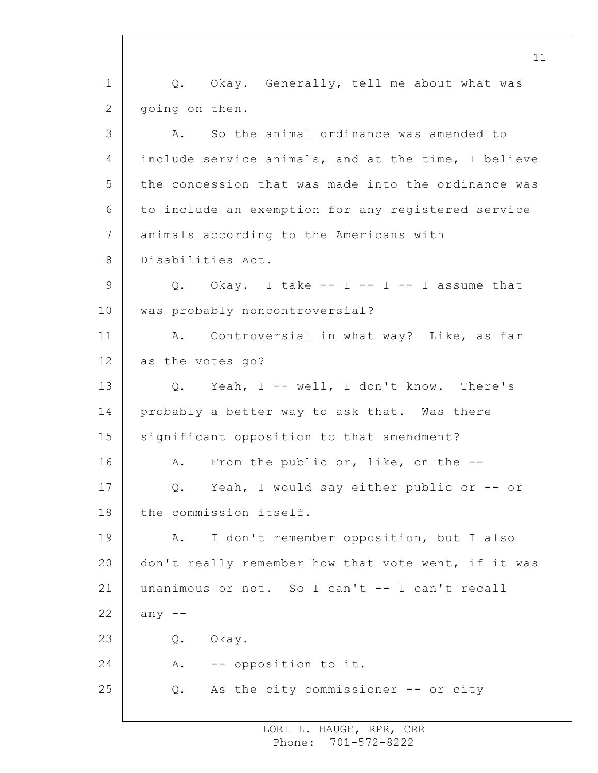1 2 3 4 5 6 7 8 9 10 11 12 13 14 15 16 17 18 19 20 21 22 23 24 25 Q. Okay. Generally, tell me about what was going on then. A. So the animal ordinance was amended to include service animals, and at the time, I believe the concession that was made into the ordinance was to include an exemption for any registered service animals according to the Americans with Disabilities Act. Q. Okay. I take  $-$  I  $-$  I  $-$  I assume that was probably noncontroversial? A. Controversial in what way? Like, as far as the votes go? Q. Yeah, I -- well, I don't know. There's probably a better way to ask that. Was there significant opposition to that amendment? A. From the public or, like, on the -- Q. Yeah, I would say either public or -- or the commission itself. A. I don't remember opposition, but I also don't really remember how that vote went, if it was unanimous or not. So I can't -- I can't recall any  $--$ Q. Okay. A. -- opposition to it. Q. As the city commissioner -- or city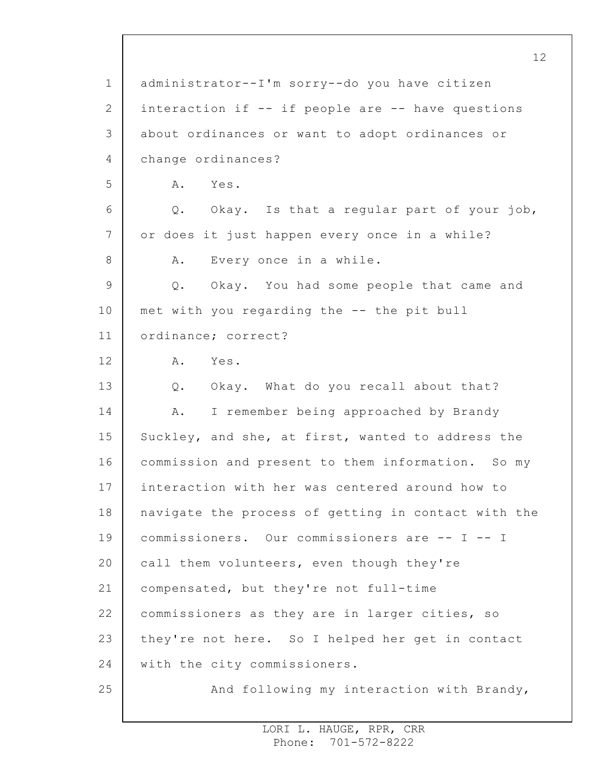1 2 3 4 5 6 7 8 9 10 11 12 13 14 15 16 17 18 19 20 21 22 23 24 25 administrator--I'm sorry--do you have citizen interaction if -- if people are -- have questions about ordinances or want to adopt ordinances or change ordinances? A. Yes. Q. Okay. Is that a regular part of your job, or does it just happen every once in a while? A. Every once in a while. Q. Okay. You had some people that came and met with you regarding the -- the pit bull ordinance; correct? A. Yes. Q. Okay. What do you recall about that? A. I remember being approached by Brandy Suckley, and she, at first, wanted to address the commission and present to them information. So my interaction with her was centered around how to navigate the process of getting in contact with the commissioners. Our commissioners are -- I -- I call them volunteers, even though they're compensated, but they're not full-time commissioners as they are in larger cities, so they're not here. So I helped her get in contact with the city commissioners. And following my interaction with Brandy,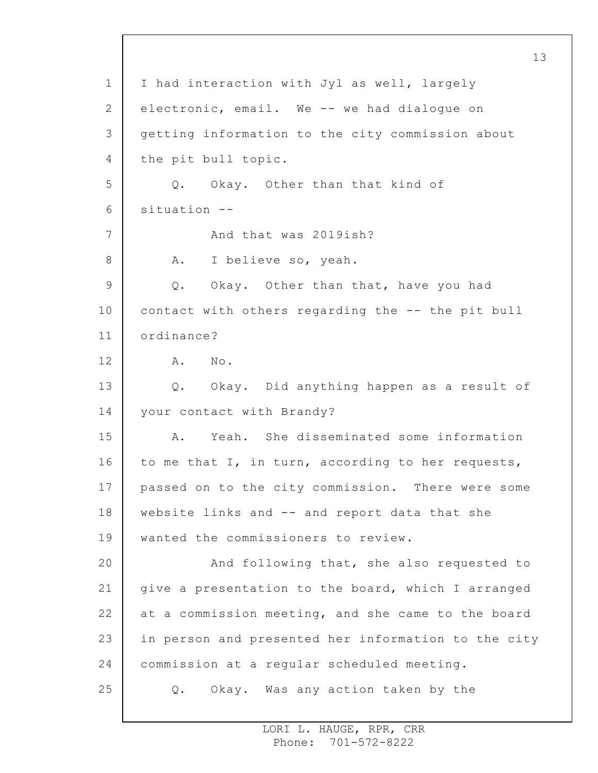1 2 3 4 5 6 7 8 9 10 11 12 13 14 15 16 17 18 19 20 21 22 23 24 25 I had interaction with Jyl as well, largely electronic, email. We -- we had dialogue on getting information to the city commission about the pit bull topic. Q. Okay. Other than that kind of situation -- And that was 2019ish? A. I believe so, yeah. Q. Okay. Other than that, have you had contact with others regarding the -- the pit bull ordinance? A. No. Q. Okay. Did anything happen as a result of your contact with Brandy? A. Yeah. She disseminated some information to me that I, in turn, according to her requests, passed on to the city commission. There were some website links and -- and report data that she wanted the commissioners to review. And following that, she also requested to give a presentation to the board, which I arranged at a commission meeting, and she came to the board in person and presented her information to the city commission at a regular scheduled meeting. Q. Okay. Was any action taken by the

13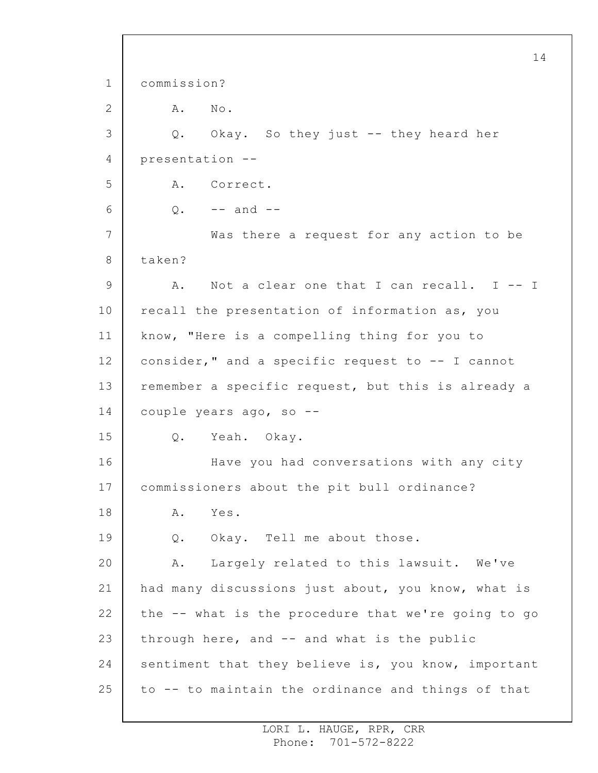1 2 3 4 5 6 7 8 9 10 11 12 13 14 15 16 17 18 19 20 21 22 23 24 25 14 commission? A. No. Q. Okay. So they just -- they heard her presentation -- A. Correct.  $Q. - -$  and  $-$ Was there a request for any action to be taken? A. Not a clear one that I can recall. I -- I recall the presentation of information as, you know, "Here is a compelling thing for you to consider," and a specific request to -- I cannot remember a specific request, but this is already a couple years ago, so -- Q. Yeah. Okay. Have you had conversations with any city commissioners about the pit bull ordinance? A. Yes. Q. Okay. Tell me about those. A. Largely related to this lawsuit. We've had many discussions just about, you know, what is the -- what is the procedure that we're going to go through here, and -- and what is the public sentiment that they believe is, you know, important to -- to maintain the ordinance and things of that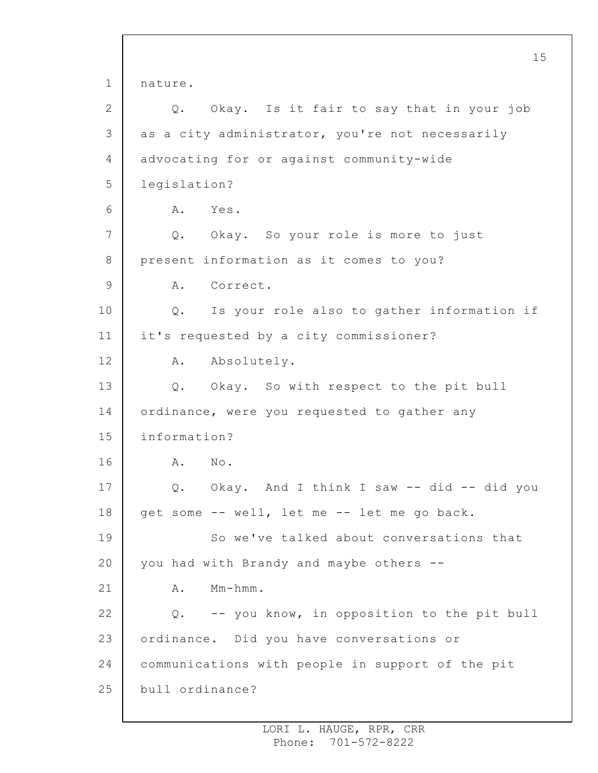1 2 3 4 5 6 7 8 9 10 11 12 13 14 15 16 17 18 19 20 21 22 23 24 25 15 nature. Q. Okay. Is it fair to say that in your job as a city administrator, you're not necessarily advocating for or against community-wide legislation? A. Yes. Q. Okay. So your role is more to just present information as it comes to you? A. Correct. Q. Is your role also to gather information if it's requested by a city commissioner? A. Absolutely. Q. Okay. So with respect to the pit bull ordinance, were you requested to gather any information? A. No. Q. Okay. And I think I saw -- did -- did you get some -- well, let me -- let me go back. So we've talked about conversations that you had with Brandy and maybe others -- A. Mm-hmm. Q. -- you know, in opposition to the pit bull ordinance. Did you have conversations or communications with people in support of the pit bull ordinance?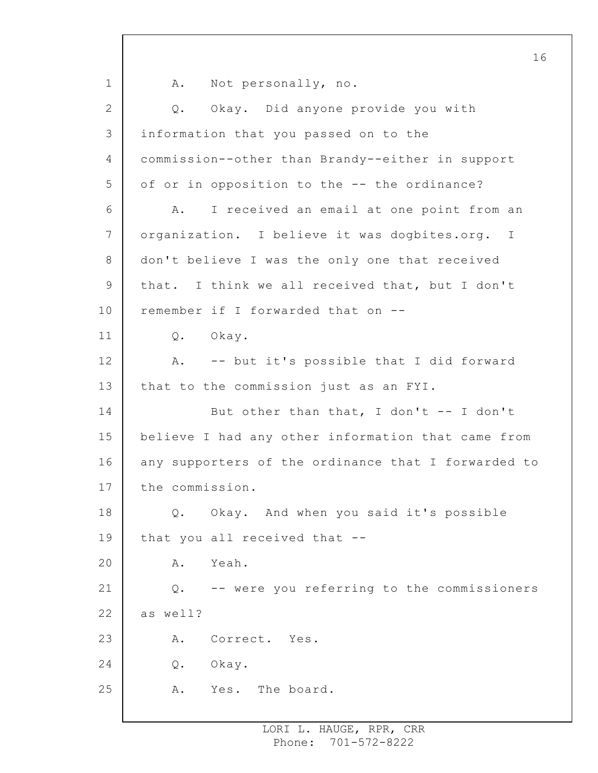1 2 3 4 5 6 7 8 9 10 11 12 13 14 15 16 17 18 19 20 21 22 23 24 25 16 A. Not personally, no. Q. Okay. Did anyone provide you with information that you passed on to the commission--other than Brandy--either in support of or in opposition to the -- the ordinance? A. I received an email at one point from an organization. I believe it was dogbites.org. I don't believe I was the only one that received that. I think we all received that, but I don't remember if I forwarded that on -- Q. Okay. A. -- but it's possible that I did forward that to the commission just as an FYI. But other than that, I don't -- I don't believe I had any other information that came from any supporters of the ordinance that I forwarded to the commission. Q. Okay. And when you said it's possible that you all received that -- A. Yeah. Q. -- were you referring to the commissioners as well? A. Correct. Yes. Q. Okay. A. Yes. The board.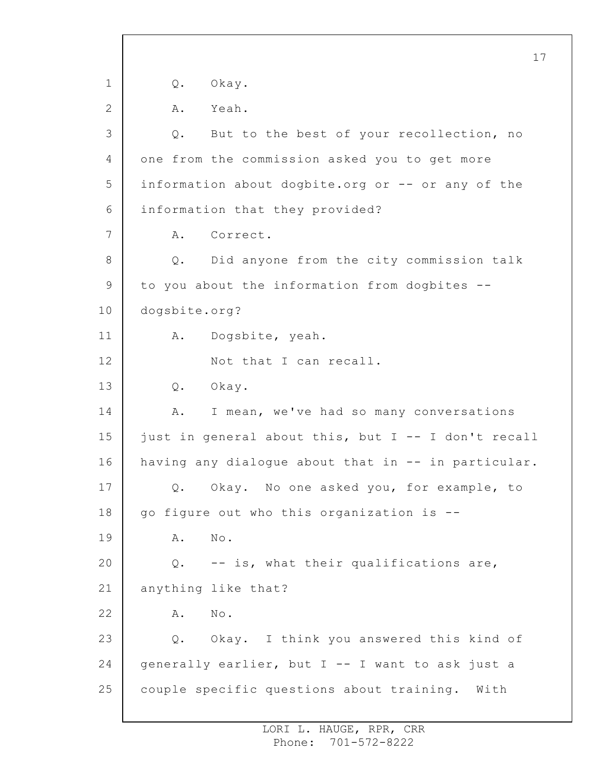1 2 3 4 5 6 7 8 9 10 11 12 13 14 15 16 17 18 19 20 21 22 23 24 25 17 Q. Okay. A. Yeah. Q. But to the best of your recollection, no one from the commission asked you to get more information about dogbite.org or -- or any of the information that they provided? A. Correct. Q. Did anyone from the city commission talk to you about the information from dogbites - dogsbite.org? A. Dogsbite, yeah. Not that I can recall. Q. Okay. A. I mean, we've had so many conversations just in general about this, but I -- I don't recall having any dialogue about that in -- in particular. Q. Okay. No one asked you, for example, to go figure out who this organization is -- A. No. Q. -- is, what their qualifications are, anything like that? A. No. Q. Okay. I think you answered this kind of generally earlier, but I -- I want to ask just a couple specific questions about training. With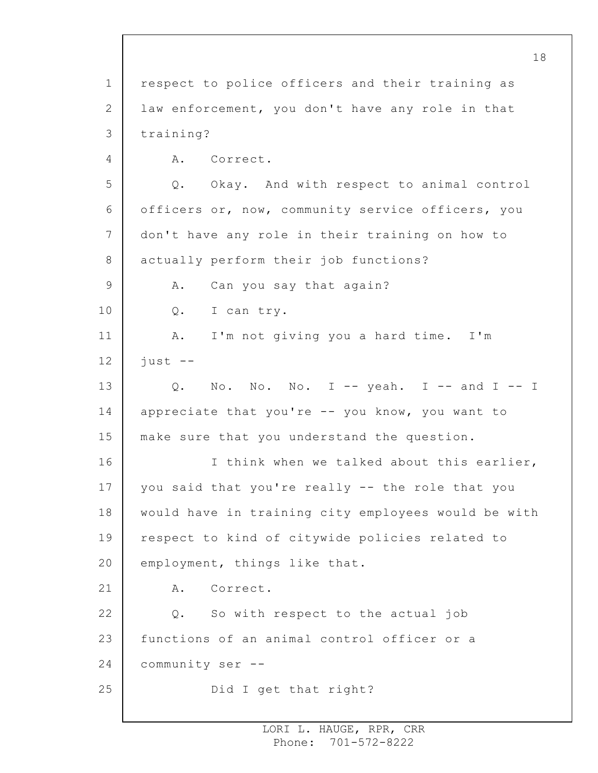1 2 3 4 5 6 7 8 9 10 11 12 13 14 15 16 17 18 19 20 21 22 23 24 25 respect to police officers and their training as law enforcement, you don't have any role in that training? A. Correct. Q. Okay. And with respect to animal control officers or, now, community service officers, you don't have any role in their training on how to actually perform their job functions? A. Can you say that again? Q. I can try. A. I'm not giving you a hard time. I'm just -- Q. No. No. No. I -- yeah. I -- and I -- I appreciate that you're -- you know, you want to make sure that you understand the question. I think when we talked about this earlier, you said that you're really -- the role that you would have in training city employees would be with respect to kind of citywide policies related to employment, things like that. A. Correct. Q. So with respect to the actual job functions of an animal control officer or a community ser -- Did I get that right?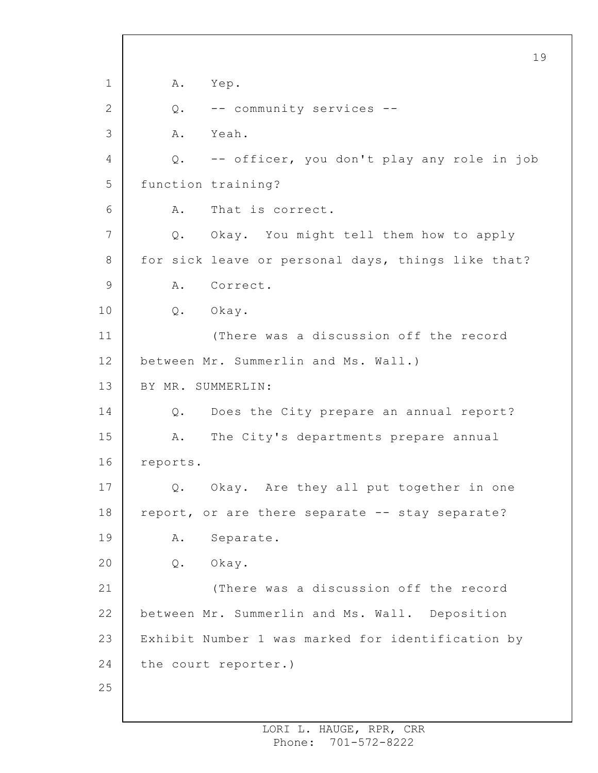1 2 3 4 5 6 7 8 9 10 11 12 13 14 15 16 17 18 19 20 21 22 23 24 25 19 A. Yep. Q. -- community services -- A. Yeah. Q. -- officer, you don't play any role in job function training? A. That is correct. Q. Okay. You might tell them how to apply for sick leave or personal days, things like that? A. Correct. Q. Okay. (There was a discussion off the record between Mr. Summerlin and Ms. Wall.) BY MR. SUMMERLIN: Q. Does the City prepare an annual report? A. The City's departments prepare annual reports. Q. Okay. Are they all put together in one report, or are there separate -- stay separate? A. Separate. Q. Okay. (There was a discussion off the record between Mr. Summerlin and Ms. Wall. Deposition Exhibit Number 1 was marked for identification by the court reporter.)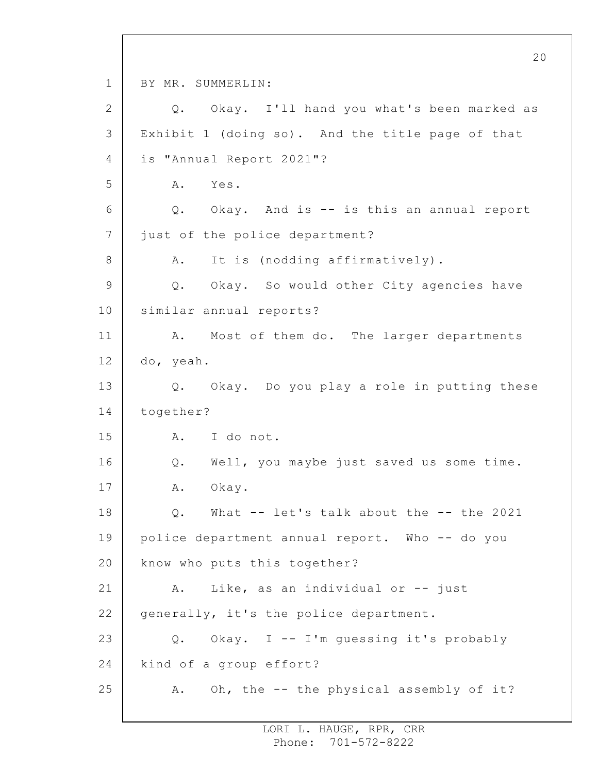1 2 3 4 5 6 7 8 9 10 11 12 13 14 15 16 17 18 19 20 21 22 23 24 25 20 BY MR. SUMMERLIN: Q. Okay. I'll hand you what's been marked as Exhibit 1 (doing so). And the title page of that is "Annual Report 2021"? A. Yes. Q. Okay. And is -- is this an annual report just of the police department? A. It is (nodding affirmatively). Q. Okay. So would other City agencies have similar annual reports? A. Most of them do. The larger departments do, yeah. Q. Okay. Do you play a role in putting these together? A. I do not. Q. Well, you maybe just saved us some time. A. Okay. Q. What -- let's talk about the -- the 2021 police department annual report. Who -- do you know who puts this together? A. Like, as an individual or -- just generally, it's the police department. Q. Okay. I -- I'm guessing it's probably kind of a group effort? A. Oh, the -- the physical assembly of it?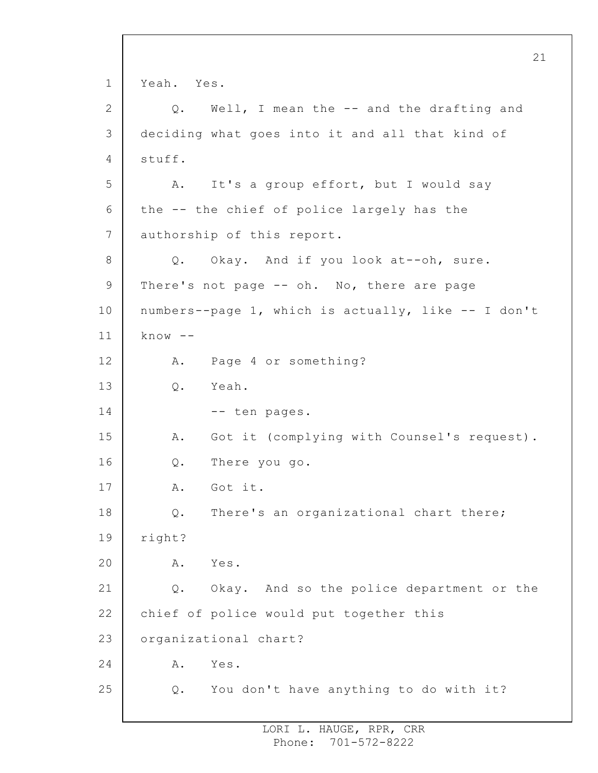1 2 3 4 5 6 7 8 9 10 11 12 13 14 15 16 17 18 19 20 21 22 23 24 25 21 Yeah. Yes. Q. Well, I mean the -- and the drafting and deciding what goes into it and all that kind of stuff. A. It's a group effort, but I would say the -- the chief of police largely has the authorship of this report. Q. Okay. And if you look at--oh, sure. There's not page -- oh. No, there are page numbers--page 1, which is actually, like -- I don't  $know$  --A. Page 4 or something? Q. Yeah. -- ten pages. A. Got it (complying with Counsel's request). Q. There you go. A. Got it. Q. There's an organizational chart there; right? A. Yes. Q. Okay. And so the police department or the chief of police would put together this organizational chart? A. Yes. Q. You don't have anything to do with it?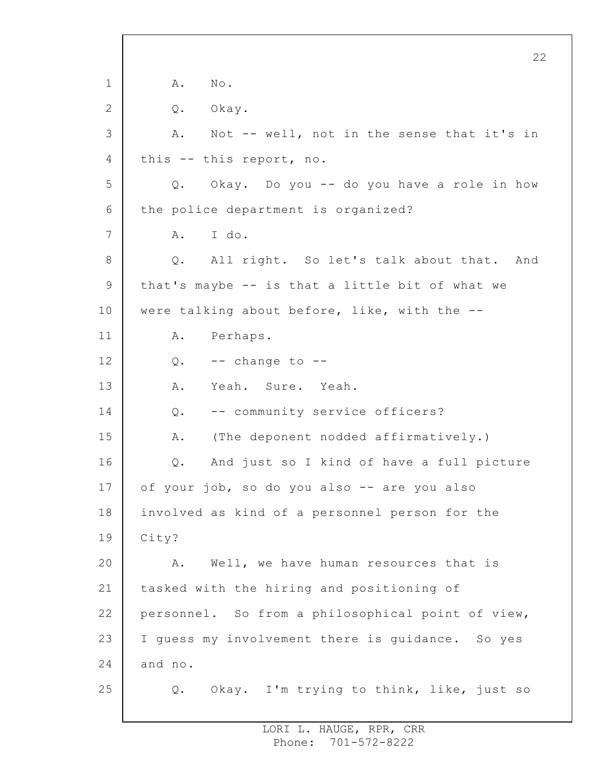1 2 3 4 5 6 7 8 9 10 11 12 13 14 15 16 17 18 19 20 21 22 23 24 25 22 A. No. Q. Okay. A. Not -- well, not in the sense that it's in this -- this report, no. Q. Okay. Do you -- do you have a role in how the police department is organized? A. I do. Q. All right. So let's talk about that. And that's maybe -- is that a little bit of what we were talking about before, like, with the -- A. Perhaps.  $Q.$  -- change to --A. Yeah. Sure. Yeah. Q. -- community service officers? A. (The deponent nodded affirmatively.) Q. And just so I kind of have a full picture of your job, so do you also -- are you also involved as kind of a personnel person for the City? A. Well, we have human resources that is tasked with the hiring and positioning of personnel. So from a philosophical point of view, I guess my involvement there is guidance. So yes and no. Q. Okay. I'm trying to think, like, just so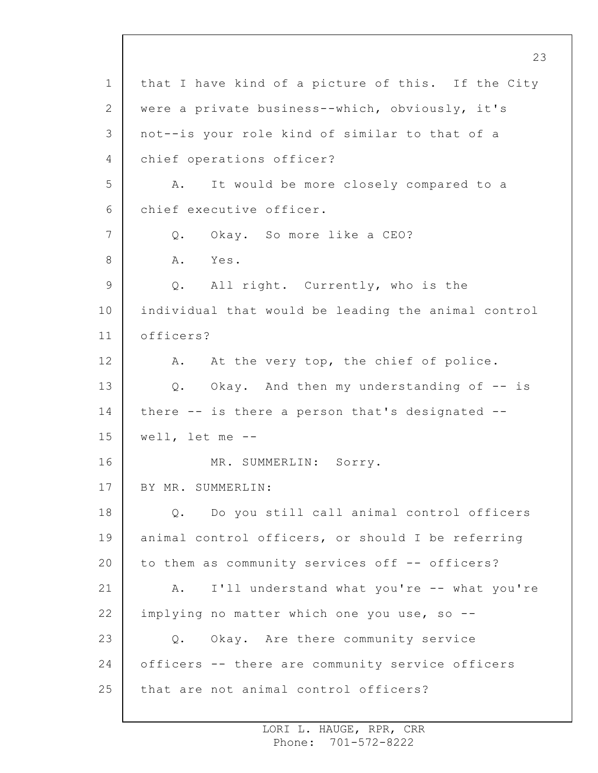1 2 3 4 5 6 7 8 9 10 11 12 13 14 15 16 17 18 19 20 21 22 23 24 25 23 that I have kind of a picture of this. If the City were a private business--which, obviously, it's not--is your role kind of similar to that of a chief operations officer? A. It would be more closely compared to a chief executive officer. Q. Okay. So more like a CEO? A. Yes. Q. All right. Currently, who is the individual that would be leading the animal control officers? A. At the very top, the chief of police. Q. Okay. And then my understanding of -- is there -- is there a person that's designated - well, let me -- MR. SUMMERLIN: Sorry. BY MR. SUMMERLIN: Q. Do you still call animal control officers animal control officers, or should I be referring to them as community services off -- officers? A. I'll understand what you're -- what you're implying no matter which one you use, so --Q. Okay. Are there community service officers -- there are community service officers that are not animal control officers?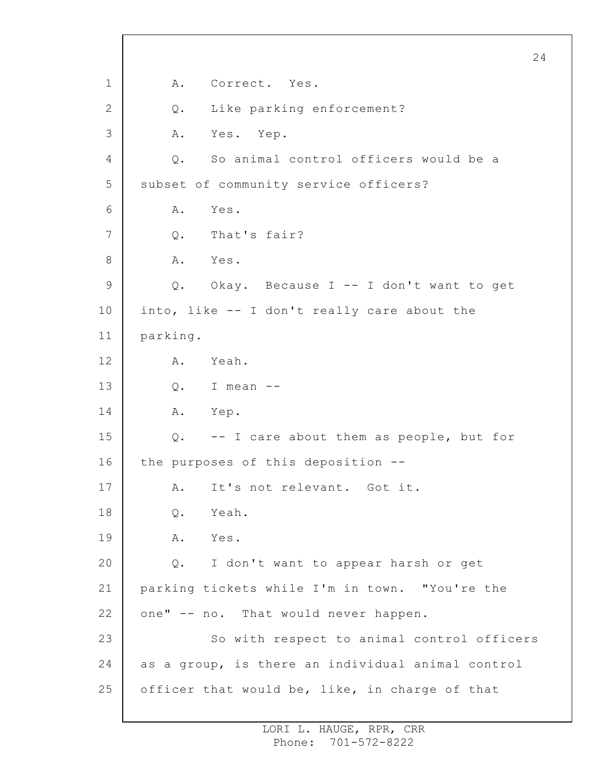1 2 3 4 5 6 7 8 9 10 11 12 13 14 15 16 17 18 19 20 21 22 23 24 25 24 A. Correct. Yes. Q. Like parking enforcement? A. Yes. Yep. Q. So animal control officers would be a subset of community service officers? A. Yes. Q. That's fair? A. Yes. Q. Okay. Because I -- I don't want to get into, like -- I don't really care about the parking. A. Yeah. Q. I mean -- A. Yep. Q. -- I care about them as people, but for the purposes of this deposition -- A. It's not relevant. Got it. Q. Yeah. A. Yes. Q. I don't want to appear harsh or get parking tickets while I'm in town. "You're the one" -- no. That would never happen. So with respect to animal control officers as a group, is there an individual animal control officer that would be, like, in charge of that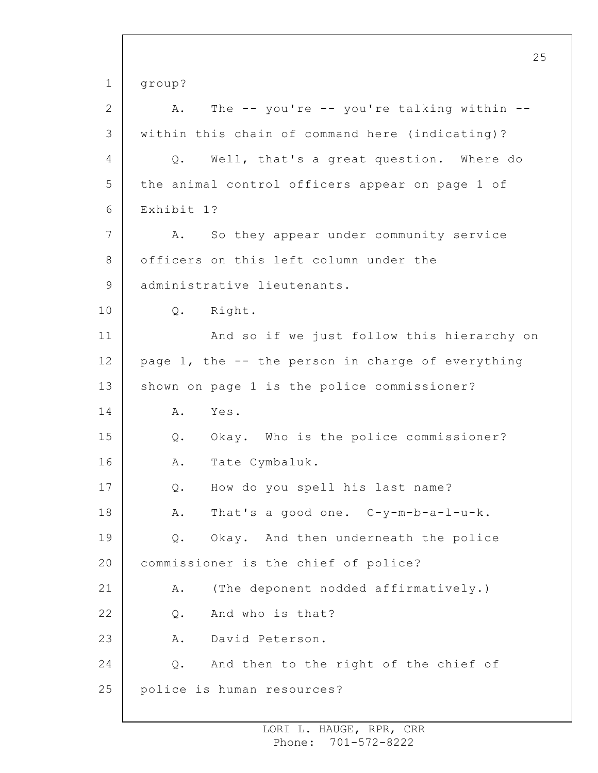1 2 3 4 5 6 7 8 9 10 11 12 13 14 15 16 17 18 19 20 21 22 23 24 25 25 group? A. The -- you're -- you're talking within - within this chain of command here (indicating)? Q. Well, that's a great question. Where do the animal control officers appear on page 1 of Exhibit 1? A. So they appear under community service officers on this left column under the administrative lieutenants. Q. Right. And so if we just follow this hierarchy on page  $1$ , the  $-$ - the person in charge of everything shown on page 1 is the police commissioner? A. Yes. Q. Okay. Who is the police commissioner? A. Tate Cymbaluk. Q. How do you spell his last name? A. That's a good one. C-y-m-b-a-l-u-k. Q. Okay. And then underneath the police commissioner is the chief of police? A. (The deponent nodded affirmatively.) Q. And who is that? A. David Peterson. Q. And then to the right of the chief of police is human resources?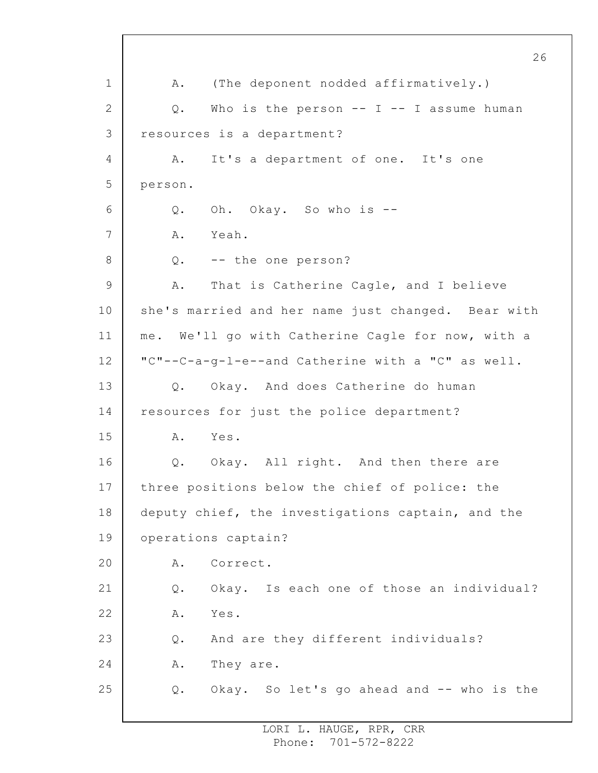1 2 3 4 5 6 7 8 9 10 11 12 13 14 15 16 17 18 19 20 21 22 23 24 25 A. (The deponent nodded affirmatively.) Q. Who is the person -- I -- I assume human resources is a department? A. It's a department of one. It's one person. Q. Oh. Okay. So who is -- A. Yeah. Q. -- the one person? A. That is Catherine Cagle, and I believe she's married and her name just changed. Bear with me. We'll go with Catherine Cagle for now, with a "C"--C-a-g-l-e--and Catherine with a "C" as well. Q. Okay. And does Catherine do human resources for just the police department? A. Yes. Q. Okay. All right. And then there are three positions below the chief of police: the deputy chief, the investigations captain, and the operations captain? A. Correct. Q. Okay. Is each one of those an individual? A. Yes. Q. And are they different individuals? A. They are. Q. Okay. So let's go ahead and -- who is the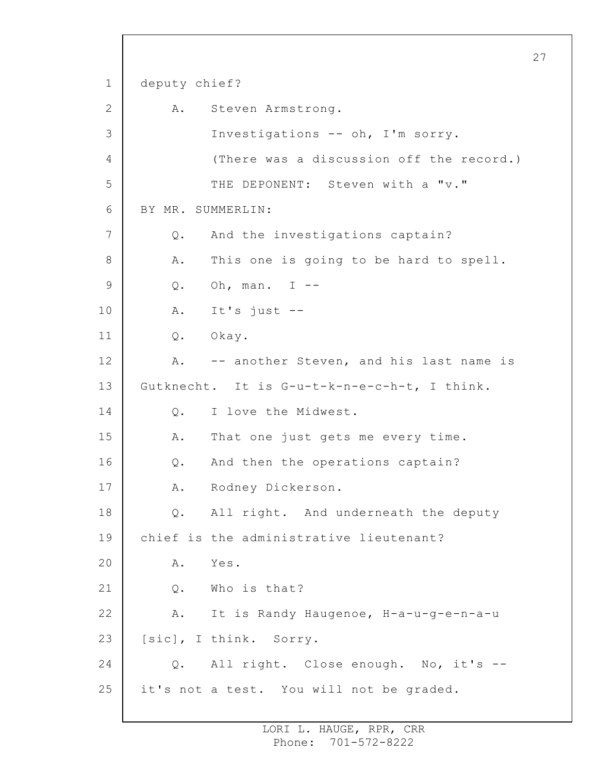1 2 3 4 5 6 7 8 9 10 11 12 13 14 15 16 17 18 19 20 21 22 23 24 25 deputy chief? A. Steven Armstrong. Investigations -- oh, I'm sorry. (There was a discussion off the record.) THE DEPONENT: Steven with a "v." BY MR. SUMMERLIN: Q. And the investigations captain? A. This one is going to be hard to spell. Q. Oh, man. I -- A. It's just -- Q. Okay. A. -- another Steven, and his last name is Gutknecht. It is G-u-t-k-n-e-c-h-t, I think. Q. I love the Midwest. A. That one just gets me every time. Q. And then the operations captain? A. Rodney Dickerson. Q. All right. And underneath the deputy chief is the administrative lieutenant? A. Yes. Q. Who is that? A. It is Randy Haugenoe, H-a-u-g-e-n-a-u [sic], I think. Sorry. Q. All right. Close enough. No, it's - it's not a test. You will not be graded.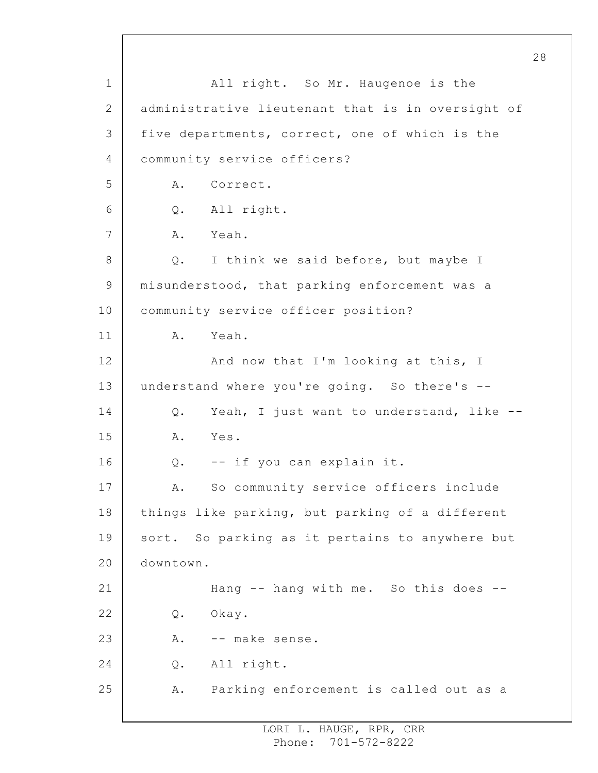1 2 3 4 5 6 7 8 9 10 11 12 13 14 15 16 17 18 19 20 21 22 23 24 25 All right. So Mr. Haugenoe is the administrative lieutenant that is in oversight of five departments, correct, one of which is the community service officers? A. Correct. Q. All right. A. Yeah. Q. I think we said before, but maybe I misunderstood, that parking enforcement was a community service officer position? A. Yeah. And now that I'm looking at this, I understand where you're going. So there's -- Q. Yeah, I just want to understand, like -- A. Yes. Q. -- if you can explain it. A. So community service officers include things like parking, but parking of a different sort. So parking as it pertains to anywhere but downtown. Hang -- hang with me. So this does -- Q. Okay. A. -- make sense. Q. All right. A. Parking enforcement is called out as a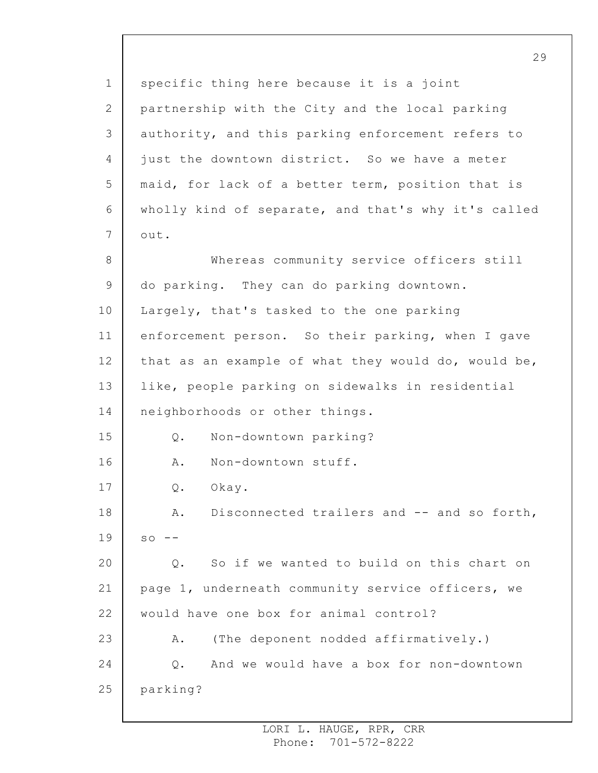1 2 3 4 5 6 7 8 9 10 11 12 13 14 15 16 17 18 19 20 21 22 23 24 25 specific thing here because it is a joint partnership with the City and the local parking authority, and this parking enforcement refers to just the downtown district. So we have a meter maid, for lack of a better term, position that is wholly kind of separate, and that's why it's called out. Whereas community service officers still do parking. They can do parking downtown. Largely, that's tasked to the one parking enforcement person. So their parking, when I gave that as an example of what they would do, would be, like, people parking on sidewalks in residential neighborhoods or other things. Q. Non-downtown parking? A. Non-downtown stuff. Q. Okay. A. Disconnected trailers and -- and so forth,  $SO = -$ Q. So if we wanted to build on this chart on page 1, underneath community service officers, we would have one box for animal control? A. (The deponent nodded affirmatively.) Q. And we would have a box for non-downtown parking?

29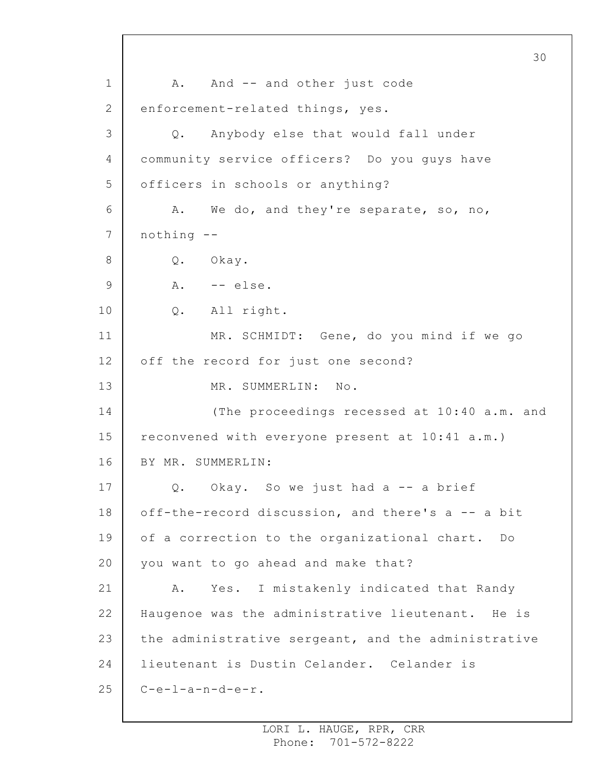1 2 3 4 5 6 7 8 9 10 11 12 13 14 15 16 17 18 19 20 21 22 23 24 25 30 A. And -- and other just code enforcement-related things, yes. Q. Anybody else that would fall under community service officers? Do you guys have officers in schools or anything? A. We do, and they're separate, so, no, nothing -- Q. Okay. A. -- else. Q. All right. MR. SCHMIDT: Gene, do you mind if we go off the record for just one second? MR. SUMMERLIN: No. (The proceedings recessed at 10:40 a.m. and reconvened with everyone present at 10:41 a.m.) BY MR. SUMMERLIN: Q. Okay. So we just had a -- a brief off-the-record discussion, and there's a -- a bit of a correction to the organizational chart. Do you want to go ahead and make that? A. Yes. I mistakenly indicated that Randy Haugenoe was the administrative lieutenant. He is the administrative sergeant, and the administrative lieutenant is Dustin Celander. Celander is  $C-e-1-a-n-d-e-r.$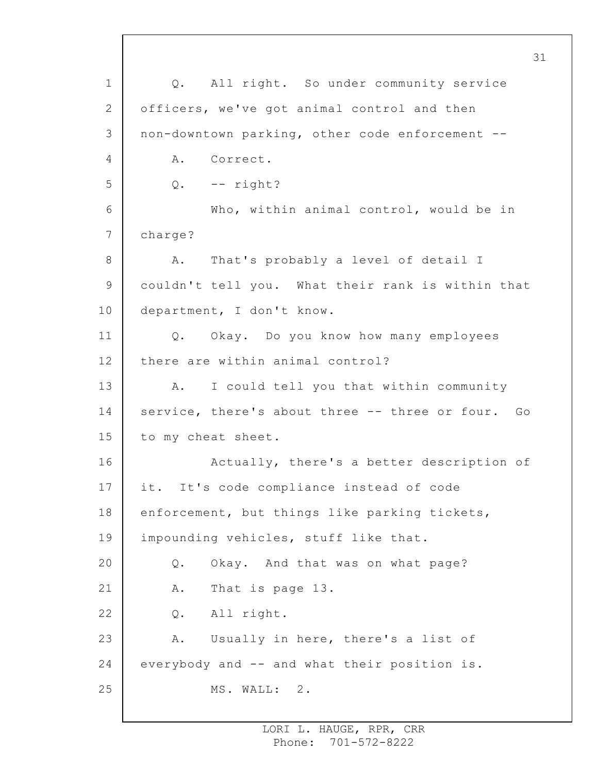1 2 3 4 5 6 7 8 9 10 11 12 13 14 15 16 17 18 19 20 21 22 23 24 25 31 Q. All right. So under community service officers, we've got animal control and then non-downtown parking, other code enforcement -- A. Correct.  $Q.$  -- right? Who, within animal control, would be in charge? A. That's probably a level of detail I couldn't tell you. What their rank is within that department, I don't know. Q. Okay. Do you know how many employees there are within animal control? A. I could tell you that within community service, there's about three -- three or four. Go to my cheat sheet. Actually, there's a better description of it. It's code compliance instead of code enforcement, but things like parking tickets, impounding vehicles, stuff like that. Q. Okay. And that was on what page? A. That is page 13. Q. All right. A. Usually in here, there's a list of everybody and -- and what their position is. MS. WALL: 2.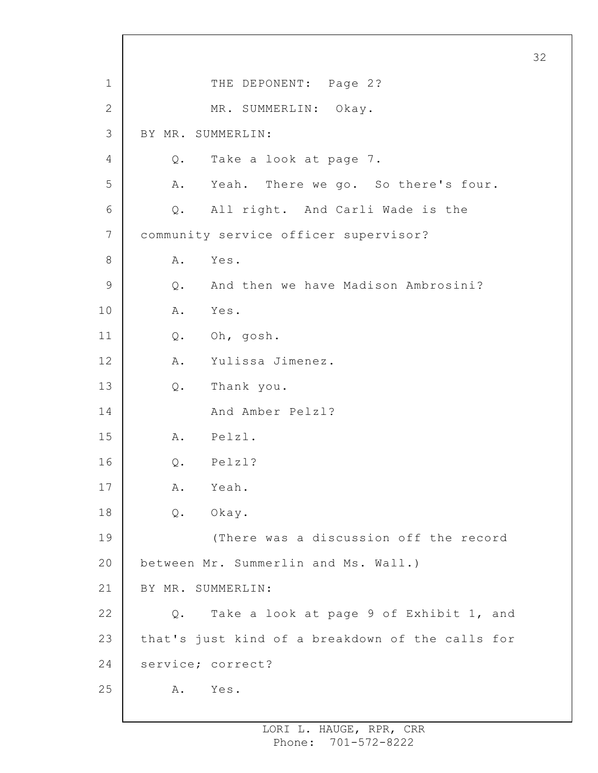1 2 3 4 5 6 7 8 9 10 11 12 13 14 15 16 17 18 19 20 21 22 23 24 25 THE DEPONENT: Page 2? MR. SUMMERLIN: Okay. BY MR. SUMMERLIN: Q. Take a look at page 7. A. Yeah. There we go. So there's four. Q. All right. And Carli Wade is the community service officer supervisor? A. Yes. Q. And then we have Madison Ambrosini? A. Yes. Q. Oh, gosh. A. Yulissa Jimenez. Q. Thank you. And Amber Pelzl? A. Pelzl. Q. Pelzl? A. Yeah. Q. Okay. (There was a discussion off the record between Mr. Summerlin and Ms. Wall.) BY MR. SUMMERLIN: Q. Take a look at page 9 of Exhibit 1, and that's just kind of a breakdown of the calls for service; correct? A. Yes.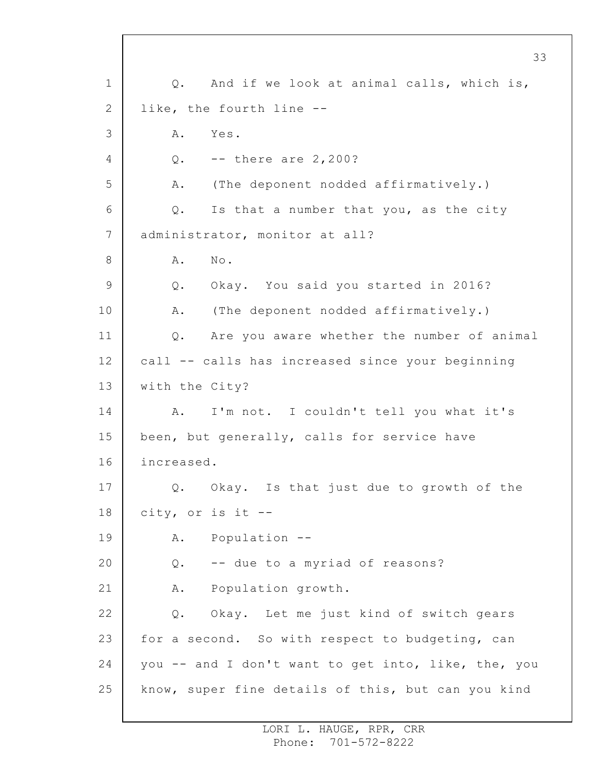1 2 3 4 5 6 7 8 9 10 11 12 13 14 15 16 17 18 19 20 21 22 23 24 25 Q. And if we look at animal calls, which is, like, the fourth line -- A. Yes. Q. -- there are 2,200? A. (The deponent nodded affirmatively.) Q. Is that a number that you, as the city administrator, monitor at all? A. No. Q. Okay. You said you started in 2016? A. (The deponent nodded affirmatively.) Q. Are you aware whether the number of animal call -- calls has increased since your beginning with the City? A. I'm not. I couldn't tell you what it's been, but generally, calls for service have increased. Q. Okay. Is that just due to growth of the city, or is it -- A. Population -- Q. -- due to a myriad of reasons? A. Population growth. Q. Okay. Let me just kind of switch gears for a second. So with respect to budgeting, can you -- and I don't want to get into, like, the, you know, super fine details of this, but can you kind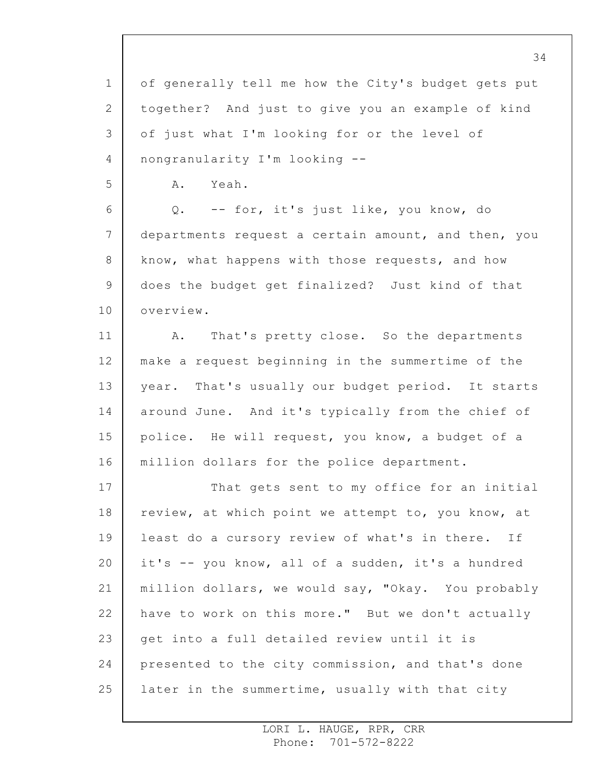1 2 3 4 of generally tell me how the City's budget gets put together? And just to give you an example of kind of just what I'm looking for or the level of nongranularity I'm looking --

5

A. Yeah.

6 7 8 9 10 Q. -- for, it's just like, you know, do departments request a certain amount, and then, you know, what happens with those requests, and how does the budget get finalized? Just kind of that overview.

11 12 13 14 15 16 A. That's pretty close. So the departments make a request beginning in the summertime of the year. That's usually our budget period. It starts around June. And it's typically from the chief of police. He will request, you know, a budget of a million dollars for the police department.

17 18 19 20 21 22 23 24 25 That gets sent to my office for an initial review, at which point we attempt to, you know, at least do a cursory review of what's in there. If it's -- you know, all of a sudden, it's a hundred million dollars, we would say, "Okay. You probably have to work on this more." But we don't actually get into a full detailed review until it is presented to the city commission, and that's done later in the summertime, usually with that city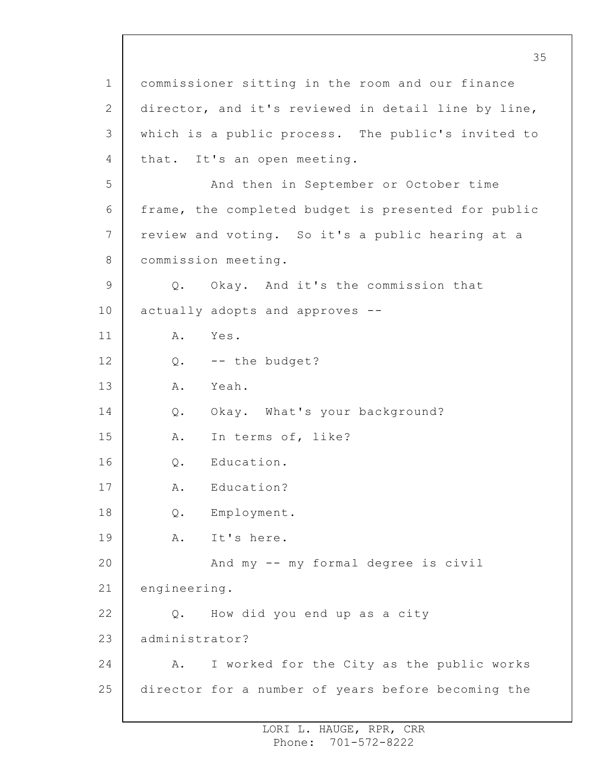1 2 3 4 5 6 7 8 9 10 11 12 13 14 15 16 17 18 19 20 21 22 23 24 25 commissioner sitting in the room and our finance director, and it's reviewed in detail line by line, which is a public process. The public's invited to that. It's an open meeting. And then in September or October time frame, the completed budget is presented for public review and voting. So it's a public hearing at a commission meeting. Q. Okay. And it's the commission that actually adopts and approves -- A. Yes. Q. -- the budget? A. Yeah. Q. Okay. What's your background? A. In terms of, like? Q. Education. A. Education? Q. Employment. A. It's here. And my -- my formal degree is civil engineering. Q. How did you end up as a city administrator? A. I worked for the City as the public works director for a number of years before becoming the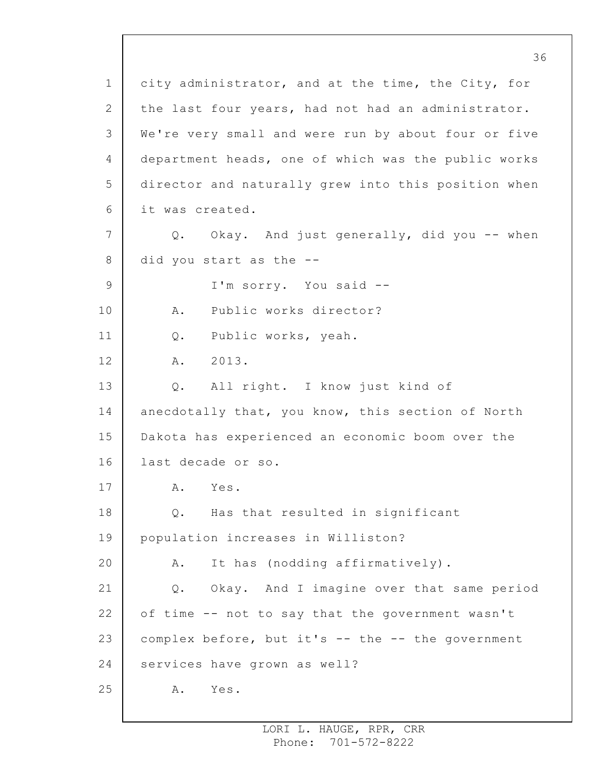1 2 3 4 5 6 7 8 9 10 11 12 13 14 15 16 17 18 19 20 21 22 23 24 25 city administrator, and at the time, the City, for the last four years, had not had an administrator. We're very small and were run by about four or five department heads, one of which was the public works director and naturally grew into this position when it was created. Q. Okay. And just generally, did you -- when did you start as the -- I'm sorry. You said -- A. Public works director? Q. Public works, yeah. A. 2013. Q. All right. I know just kind of anecdotally that, you know, this section of North Dakota has experienced an economic boom over the last decade or so. A. Yes. Q. Has that resulted in significant population increases in Williston? A. It has (nodding affirmatively). Q. Okay. And I imagine over that same period of time -- not to say that the government wasn't complex before, but it's -- the -- the government services have grown as well? A. Yes.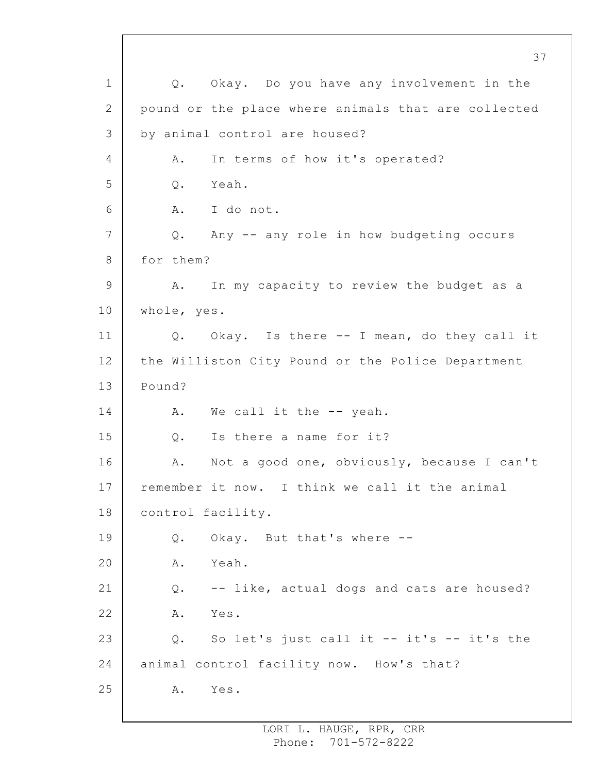1 2 3 4 5 6 7 8 9 10 11 12 13 14 15 16 17 18 19 20 21 22 23 24 25 Q. Okay. Do you have any involvement in the pound or the place where animals that are collected by animal control are housed? A. In terms of how it's operated? Q. Yeah. A. I do not. Q. Any -- any role in how budgeting occurs for them? A. In my capacity to review the budget as a whole, yes. Q. Okay. Is there -- I mean, do they call it the Williston City Pound or the Police Department Pound? A. We call it the -- yeah. Q. Is there a name for it? A. Not a good one, obviously, because I can't remember it now. I think we call it the animal control facility. Q. Okay. But that's where -- A. Yeah. Q. -- like, actual dogs and cats are housed? A. Yes. Q. So let's just call it -- it's -- it's the animal control facility now. How's that? A. Yes.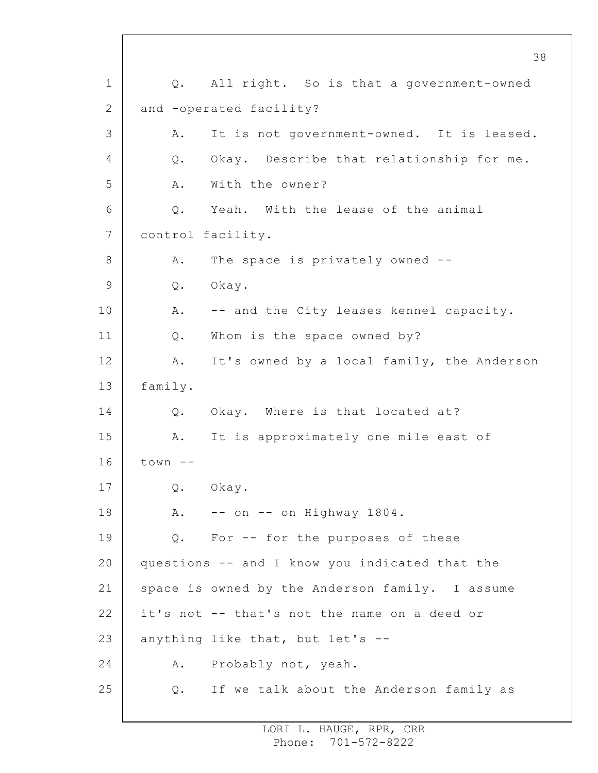1 2 3 4 5 6 7 8 9 10 11 12 13 14 15 16 17 18 19 20 21 22 23 24 25 Q. All right. So is that a government-owned and -operated facility? A. It is not government-owned. It is leased. Q. Okay. Describe that relationship for me. A. With the owner? Q. Yeah. With the lease of the animal control facility. A. The space is privately owned -- Q. Okay. A. -- and the City leases kennel capacity. Q. Whom is the space owned by? A. It's owned by a local family, the Anderson family. Q. Okay. Where is that located at? A. It is approximately one mile east of town  $--$ Q. Okay. A. -- on -- on Highway 1804. Q. For -- for the purposes of these questions -- and I know you indicated that the space is owned by the Anderson family. I assume it's not -- that's not the name on a deed or anything like that, but let's -- A. Probably not, yeah. Q. If we talk about the Anderson family as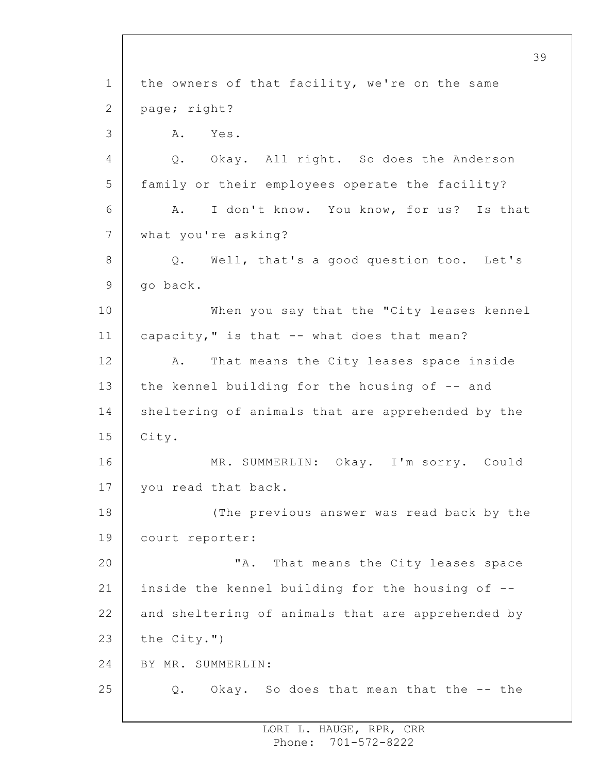1 2 3 4 5 6 7 8 9 10 11 12 13 14 15 16 17 18 19 20 21 22 23 24 25 the owners of that facility, we're on the same page; right? A. Yes. Q. Okay. All right. So does the Anderson family or their employees operate the facility? A. I don't know. You know, for us? Is that what you're asking? Q. Well, that's a good question too. Let's go back. When you say that the "City leases kennel capacity," is that -- what does that mean? A. That means the City leases space inside the kennel building for the housing of -- and sheltering of animals that are apprehended by the City. MR. SUMMERLIN: Okay. I'm sorry. Could you read that back. (The previous answer was read back by the court reporter: "A. That means the City leases space inside the kennel building for the housing of - and sheltering of animals that are apprehended by the City.") BY MR. SUMMERLIN: Q. Okay. So does that mean that the -- the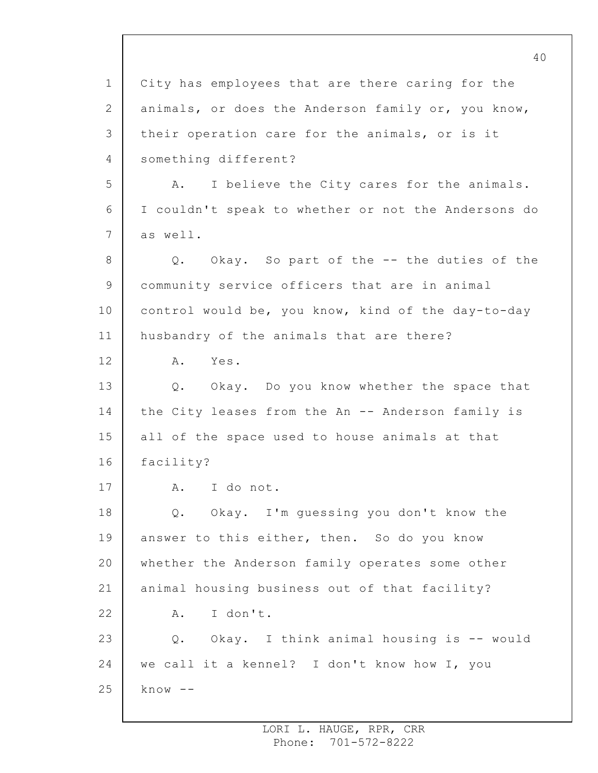1 2 3 4 5 6 7 8 9 10 11 12 13 14 15 16 17 18 19 20 21 22 23 24 25 City has employees that are there caring for the animals, or does the Anderson family or, you know, their operation care for the animals, or is it something different? A. I believe the City cares for the animals. I couldn't speak to whether or not the Andersons do as well. Q. Okay. So part of the -- the duties of the community service officers that are in animal control would be, you know, kind of the day-to-day husbandry of the animals that are there? A. Yes. Q. Okay. Do you know whether the space that the City leases from the An -- Anderson family is all of the space used to house animals at that facility? A. I do not. Q. Okay. I'm guessing you don't know the answer to this either, then. So do you know whether the Anderson family operates some other animal housing business out of that facility? A. I don't. Q. Okay. I think animal housing is -- would we call it a kennel? I don't know how I, you  $k \nightharpoonup w$   $-$ 

> LORI L. HAUGE, RPR, CRR Phone: 701-572-8222

40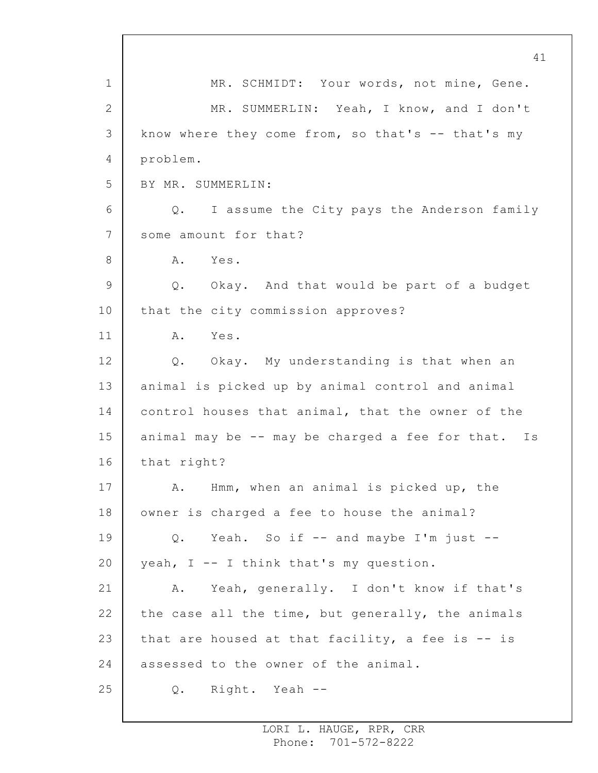1 2 3 4 5 6 7 8 9 10 11 12 13 14 15 16 17 18 19 20 21 22 23 24 25 41 MR. SCHMIDT: Your words, not mine, Gene. MR. SUMMERLIN: Yeah, I know, and I don't know where they come from, so that's  $--$  that's my problem. BY MR. SUMMERLIN: Q. I assume the City pays the Anderson family some amount for that? A. Yes. Q. Okay. And that would be part of a budget that the city commission approves? A. Yes. Q. Okay. My understanding is that when an animal is picked up by animal control and animal control houses that animal, that the owner of the animal may be -- may be charged a fee for that. Is that right? A. Hmm, when an animal is picked up, the owner is charged a fee to house the animal? Q. Yeah. So if -- and maybe I'm just - yeah, I -- I think that's my question. A. Yeah, generally. I don't know if that's the case all the time, but generally, the animals that are housed at that facility, a fee is -- is assessed to the owner of the animal. Q. Right. Yeah --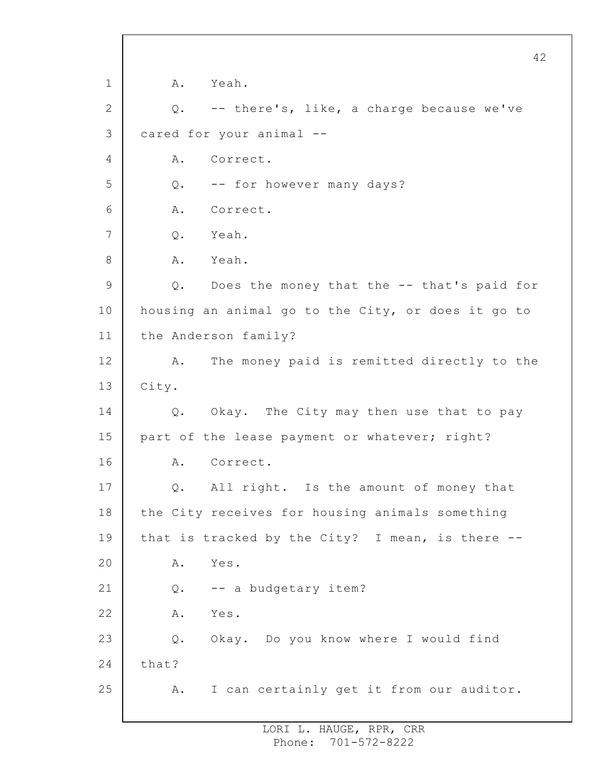1 2 3 4 5 6 7 8 9 10 11 12 13 14 15 16 17 18 19 20 21 22 23 24 25 A. Yeah. Q. -- there's, like, a charge because we've cared for your animal -- A. Correct. Q. -- for however many days? A. Correct. Q. Yeah. A. Yeah. Q. Does the money that the -- that's paid for housing an animal go to the City, or does it go to the Anderson family? A. The money paid is remitted directly to the City. Q. Okay. The City may then use that to pay part of the lease payment or whatever; right? A. Correct. Q. All right. Is the amount of money that the City receives for housing animals something that is tracked by the City? I mean, is there -- A. Yes. Q. -- a budgetary item? A. Yes. Q. Okay. Do you know where I would find that? A. I can certainly get it from our auditor.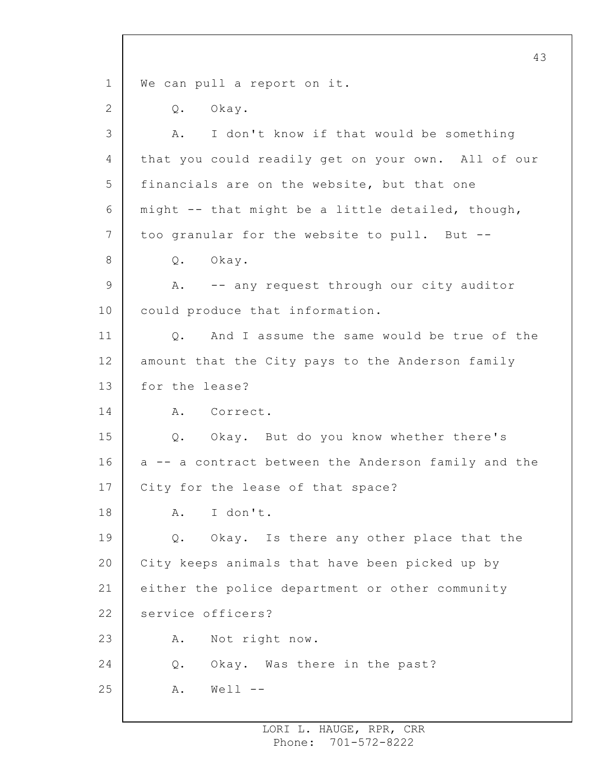1 2 3 4 5 6 7 8 9 10 11 12 13 14 15 16 17 18 19 20 21 22 23 24 25 43 We can pull a report on it. Q. Okay. A. I don't know if that would be something that you could readily get on your own. All of our financials are on the website, but that one might -- that might be a little detailed, though, too granular for the website to pull. But -- Q. Okay. A. -- any request through our city auditor could produce that information. Q. And I assume the same would be true of the amount that the City pays to the Anderson family for the lease? A. Correct. Q. Okay. But do you know whether there's a -- a contract between the Anderson family and the City for the lease of that space? A. I don't. Q. Okay. Is there any other place that the City keeps animals that have been picked up by either the police department or other community service officers? A. Not right now. Q. Okay. Was there in the past?  $A.$  Well  $--$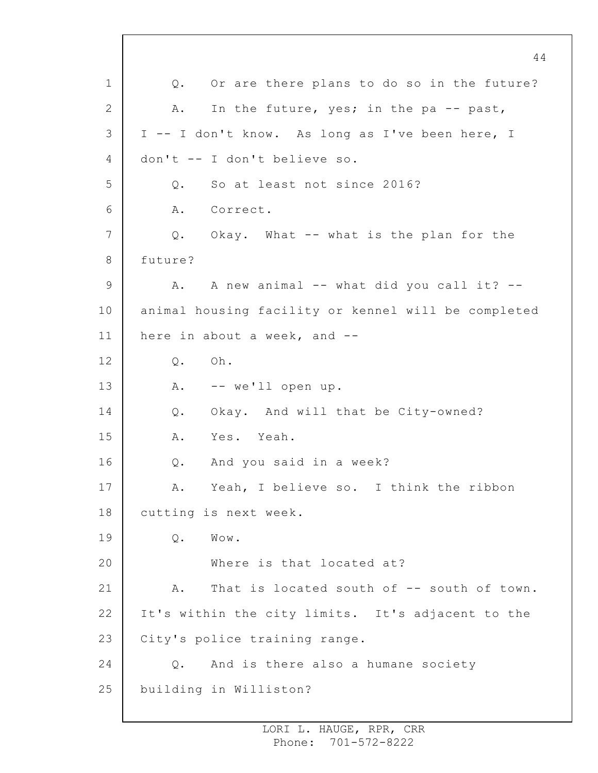1 2 3 4 5 6 7 8 9 10 11 12 13 14 15 16 17 18 19 20 21 22 23 24 25 44 Q. Or are there plans to do so in the future? A. In the future, yes; in the pa -- past, I -- I don't know. As long as I've been here, I don't -- I don't believe so. Q. So at least not since 2016? A. Correct. Q. Okay. What -- what is the plan for the future? A. A new animal -- what did you call it? - animal housing facility or kennel will be completed here in about a week, and --Q. Oh. A. -- we'll open up. Q. Okay. And will that be City-owned? A. Yes. Yeah. Q. And you said in a week? A. Yeah, I believe so. I think the ribbon cutting is next week. Q. Wow. Where is that located at? A. That is located south of -- south of town. It's within the city limits. It's adjacent to the City's police training range. Q. And is there also a humane society building in Williston?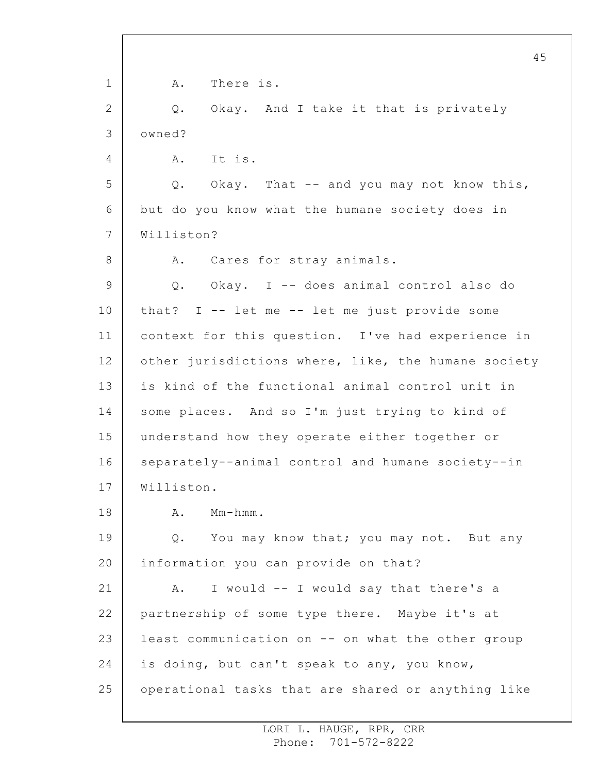1 2 3 4 5 6 7 8 9 10 11 12 13 14 15 16 17 18 19 20 21 22 23 24 25 45 A. There is. Q. Okay. And I take it that is privately owned? A. It is. Q. Okay. That -- and you may not know this, but do you know what the humane society does in Williston? A. Cares for stray animals. Q. Okay. I -- does animal control also do that?  $I$  -- let me -- let me just provide some context for this question. I've had experience in other jurisdictions where, like, the humane society is kind of the functional animal control unit in some places. And so I'm just trying to kind of understand how they operate either together or separately--animal control and humane society--in Williston. A. Mm-hmm. Q. You may know that; you may not. But any information you can provide on that? A. I would -- I would say that there's a partnership of some type there. Maybe it's at least communication on -- on what the other group is doing, but can't speak to any, you know, operational tasks that are shared or anything like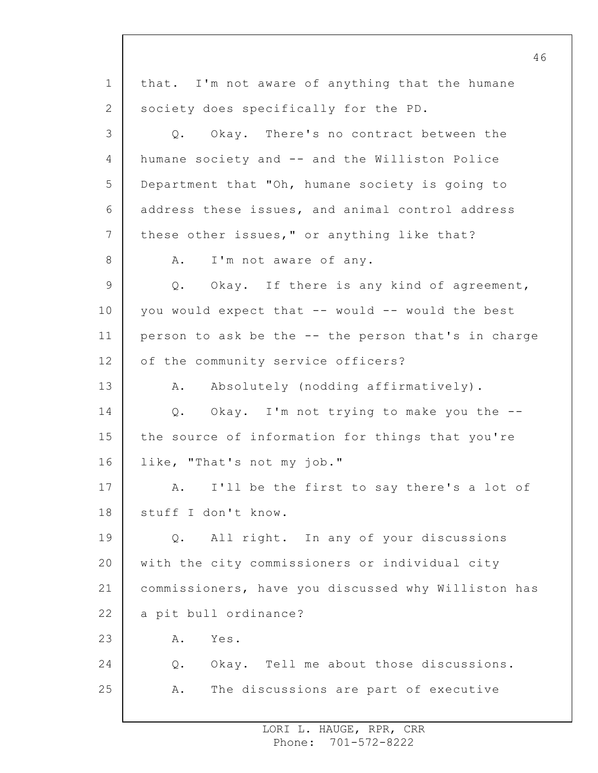1 2 3 4 5 6 7 8 9 10 11 12 13 14 15 16 17 18 19 20 21 22 23 24 25 46 that. I'm not aware of anything that the humane society does specifically for the PD. Q. Okay. There's no contract between the humane society and -- and the Williston Police Department that "Oh, humane society is going to address these issues, and animal control address these other issues," or anything like that? A. I'm not aware of any. Q. Okay. If there is any kind of agreement, you would expect that -- would -- would the best person to ask be the -- the person that's in charge of the community service officers? A. Absolutely (nodding affirmatively). Q. Okay. I'm not trying to make you the - the source of information for things that you're like, "That's not my job." A. I'll be the first to say there's a lot of stuff I don't know. Q. All right. In any of your discussions with the city commissioners or individual city commissioners, have you discussed why Williston has a pit bull ordinance? A. Yes. Q. Okay. Tell me about those discussions. A. The discussions are part of executive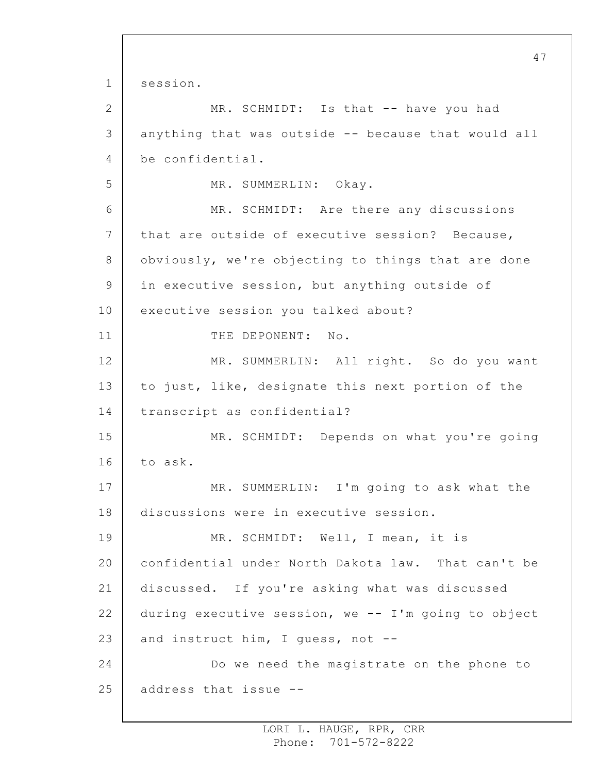1 2 3 4 5 6 7 8 9 10 11 12 13 14 15 16 17 18 19 20 21 22 23 24 25 session. MR. SCHMIDT: Is that -- have you had anything that was outside -- because that would all be confidential. MR. SUMMERLIN: Okay. MR. SCHMIDT: Are there any discussions that are outside of executive session? Because, obviously, we're objecting to things that are done in executive session, but anything outside of executive session you talked about? THE DEPONENT: No. MR. SUMMERLIN: All right. So do you want to just, like, designate this next portion of the transcript as confidential? MR. SCHMIDT: Depends on what you're going to ask. MR. SUMMERLIN: I'm going to ask what the discussions were in executive session. MR. SCHMIDT: Well, I mean, it is confidential under North Dakota law. That can't be discussed. If you're asking what was discussed during executive session, we -- I'm going to object and instruct him, I guess, not -- Do we need the magistrate on the phone to address that issue --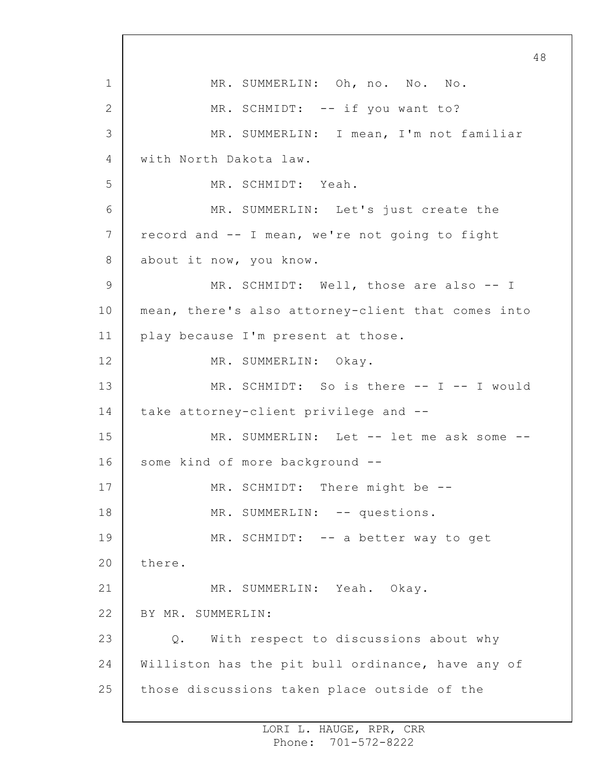1 2 3 4 5 6 7 8 9 10 11 12 13 14 15 16 17 18 19 20 21 22 23 24 25 48 MR. SUMMERLIN: Oh, no. No. No. MR. SCHMIDT: -- if you want to? MR. SUMMERLIN: I mean, I'm not familiar with North Dakota law. MR. SCHMIDT: Yeah. MR. SUMMERLIN: Let's just create the record and -- I mean, we're not going to fight about it now, you know. MR. SCHMIDT: Well, those are also -- I mean, there's also attorney-client that comes into play because I'm present at those. MR. SUMMERLIN: Okay. MR. SCHMIDT: So is there -- I -- I would take attorney-client privilege and -- MR. SUMMERLIN: Let -- let me ask some -some kind of more background -- MR. SCHMIDT: There might be --MR. SUMMERLIN: -- questions. MR. SCHMIDT: -- a better way to get there. MR. SUMMERLIN: Yeah. Okay. BY MR. SUMMERLIN: Q. With respect to discussions about why Williston has the pit bull ordinance, have any of those discussions taken place outside of the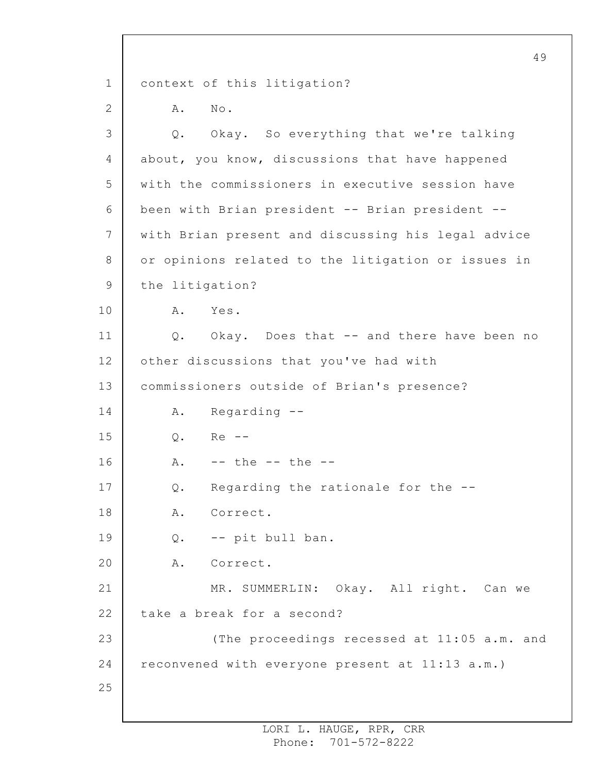1 2 3 4 5 6 7 8 9 10 11 12 13 14 15 16 17 18 19 20 21 22 23 24 25 49 context of this litigation? A. No. Q. Okay. So everything that we're talking about, you know, discussions that have happened with the commissioners in executive session have been with Brian president -- Brian president - with Brian present and discussing his legal advice or opinions related to the litigation or issues in the litigation? A. Yes. Q. Okay. Does that -- and there have been no other discussions that you've had with commissioners outside of Brian's presence? A. Regarding -- Q. Re --  $A.$  -- the -- the --Q. Regarding the rationale for the -- A. Correct. Q. -- pit bull ban. A. Correct. MR. SUMMERLIN: Okay. All right. Can we take a break for a second? (The proceedings recessed at 11:05 a.m. and reconvened with everyone present at 11:13 a.m.)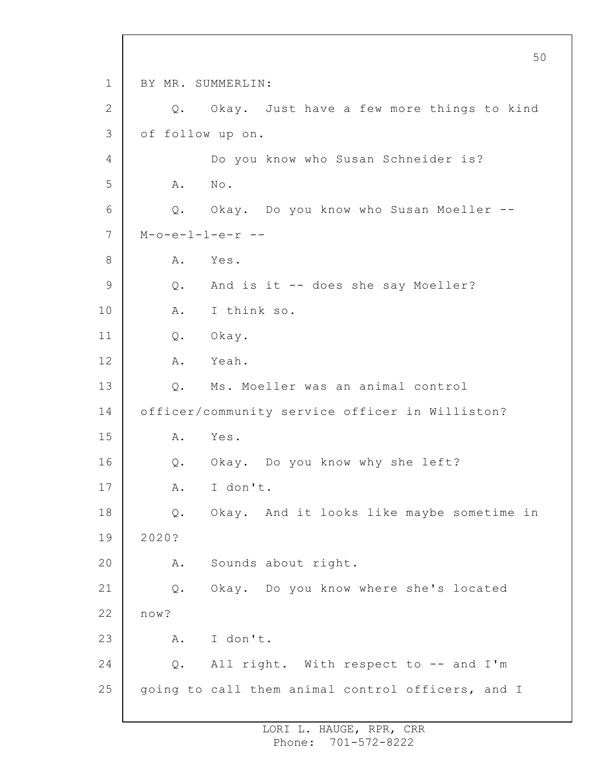1 2 3 4 5 6 7 8 9 10 11 12 13 14 15 16 17 18 19 20 21 22 23 24 25 BY MR. SUMMERLIN: Q. Okay. Just have a few more things to kind of follow up on. Do you know who Susan Schneider is? A. No. Q. Okay. Do you know who Susan Moeller --  $M-o-e-1-l-e-r$  --A. Yes. Q. And is it -- does she say Moeller? A. I think so. Q. Okay. A. Yeah. Q. Ms. Moeller was an animal control officer/community service officer in Williston? A. Yes. Q. Okay. Do you know why she left? A. I don't. Q. Okay. And it looks like maybe sometime in 2020? A. Sounds about right. Q. Okay. Do you know where she's located now? A. I don't. Q. All right. With respect to -- and I'm going to call them animal control officers, and I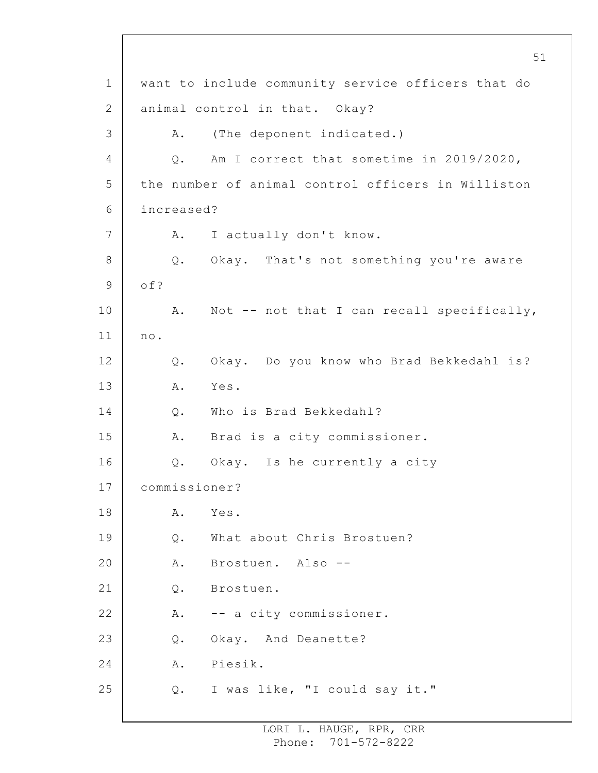1 2 3 4 5 6 7 8 9 10 11 12 13 14 15 16 17 18 19 20 21 22 23 24 25 51 want to include community service officers that do animal control in that. Okay? A. (The deponent indicated.) Q. Am I correct that sometime in 2019/2020, the number of animal control officers in Williston increased? A. I actually don't know. Q. Okay. That's not something you're aware of? A. Not -- not that I can recall specifically, no. Q. Okay. Do you know who Brad Bekkedahl is? A. Yes. Q. Who is Brad Bekkedahl? A. Brad is a city commissioner. Q. Okay. Is he currently a city commissioner? A. Yes. Q. What about Chris Brostuen? A. Brostuen. Also -- Q. Brostuen. A. -- a city commissioner. Q. Okay. And Deanette? A. Piesik. Q. I was like, "I could say it."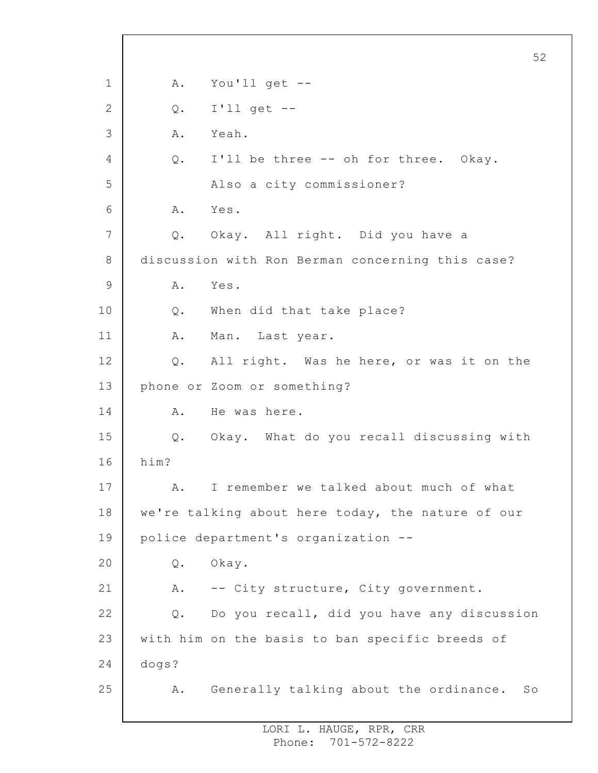1 2 3 4 5 6 7 8 9 10 11 12 13 14 15 16 17 18 19 20 21 22 23 24 25 52 A. You'll get --  $Q.$  I'll get  $-$ A. Yeah. Q. I'll be three -- oh for three. Okay. Also a city commissioner? A. Yes. Q. Okay. All right. Did you have a discussion with Ron Berman concerning this case? A. Yes. Q. When did that take place? A. Man. Last year. Q. All right. Was he here, or was it on the phone or Zoom or something? A. He was here. Q. Okay. What do you recall discussing with him? A. I remember we talked about much of what we're talking about here today, the nature of our police department's organization -- Q. Okay. A. -- City structure, City government. Q. Do you recall, did you have any discussion with him on the basis to ban specific breeds of dogs? A. Generally talking about the ordinance. So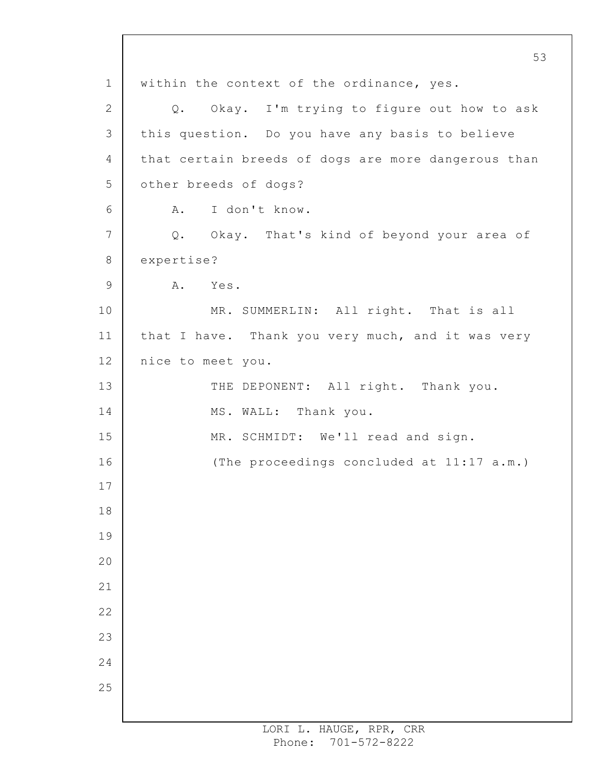1 2 3 4 5 6 7 8 9 10 11 12 13 14 15 16 17 18 19 20 21 22 23 24 25 53 within the context of the ordinance, yes. Q. Okay. I'm trying to figure out how to ask this question. Do you have any basis to believe that certain breeds of dogs are more dangerous than other breeds of dogs? A. I don't know. Q. Okay. That's kind of beyond your area of expertise? A. Yes. MR. SUMMERLIN: All right. That is all that I have. Thank you very much, and it was very nice to meet you. THE DEPONENT: All right. Thank you. MS. WALL: Thank you. MR. SCHMIDT: We'll read and sign. (The proceedings concluded at 11:17 a.m.)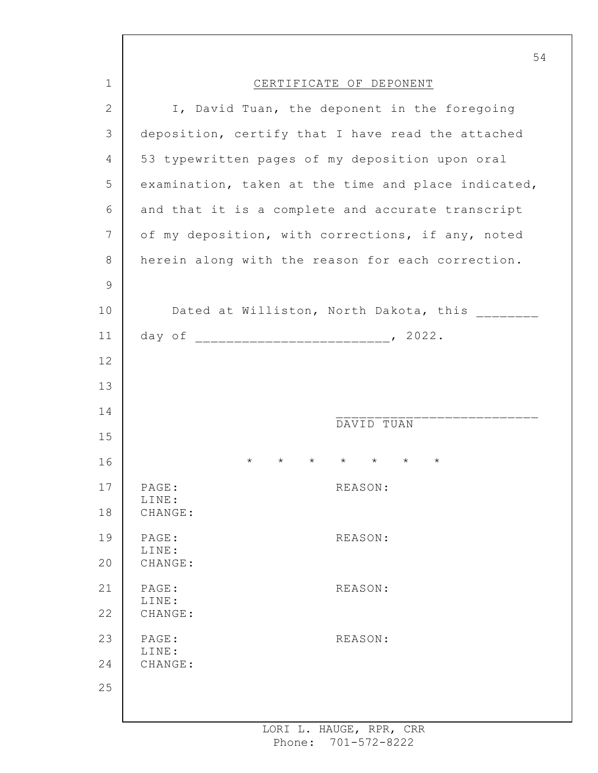|               | 54                                                                          |  |
|---------------|-----------------------------------------------------------------------------|--|
| $\mathbf 1$   | CERTIFICATE OF DEPONENT                                                     |  |
| $\mathbf{2}$  | I, David Tuan, the deponent in the foregoing                                |  |
| 3             | deposition, certify that I have read the attached                           |  |
| 4             | 53 typewritten pages of my deposition upon oral                             |  |
| 5             | examination, taken at the time and place indicated,                         |  |
| 6             | and that it is a complete and accurate transcript                           |  |
| 7             | of my deposition, with corrections, if any, noted                           |  |
| 8             | herein along with the reason for each correction.                           |  |
| $\mathcal{G}$ |                                                                             |  |
| 10            | Dated at Williston, North Dakota, this                                      |  |
| 11            |                                                                             |  |
| 12            |                                                                             |  |
| 13            |                                                                             |  |
| 14            |                                                                             |  |
| 15            | DAVID TUAN                                                                  |  |
| 16            | $\star$<br>$\star$<br>$\star$<br>$\star$<br>$^\star$<br>$\star$<br>$^\star$ |  |
| 17            | PAGE:<br>REASON:                                                            |  |
| 18            | LINE:<br>CHANGE:                                                            |  |
| 19            | PAGE:<br>REASON:                                                            |  |
| 20            | LINE:<br>CHANGE:                                                            |  |
| 21            | PAGE:<br>REASON:                                                            |  |
| 22            | LINE:<br>CHANGE:                                                            |  |
| 23            | PAGE:<br>REASON:                                                            |  |
| 24            | LINE:<br>CHANGE:                                                            |  |
| 25            |                                                                             |  |
|               |                                                                             |  |

ı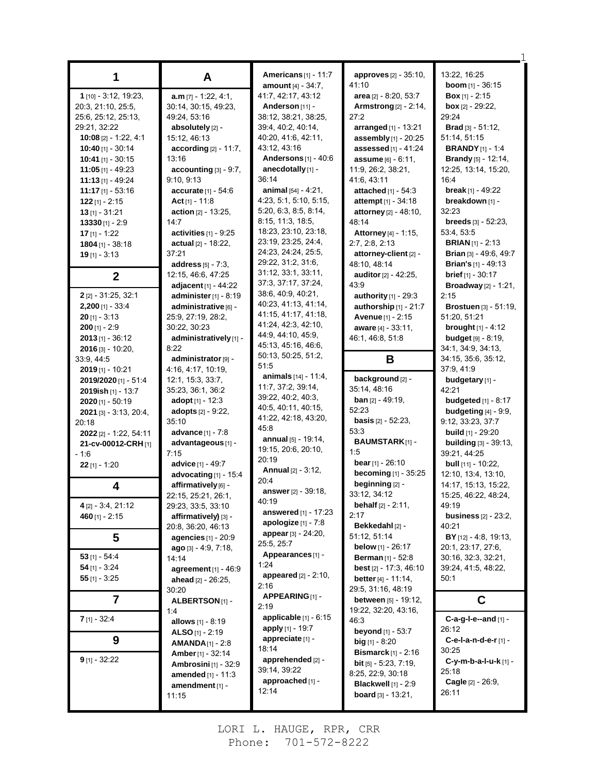|                          |                              | <b>Americans</b> [1] - 11:7    | approves [2] - 35:10,                | 13:22, 16:25                                 |
|--------------------------|------------------------------|--------------------------------|--------------------------------------|----------------------------------------------|
| 1                        | A                            | <b>amount</b> [4] - 34:7,      | 41:10                                | <b>boom</b> $[1] - 36:15$                    |
| 1 [10] - 3:12, 19:23,    | $a.m$ [7] - 1:22, 4:1,       | 41:7, 42:17, 43:12             | area [2] - 8:20, 53:7                | <b>Box</b> $[1] - 2:15$                      |
| 20:3, 21:10, 25:5,       | 30:14, 30:15, 49:23,         | Anderson $[11]$ -              | <b>Armstrong</b> [2] - 2:14,         | <b>box</b> $[2] - 29:22$ ,                   |
| 25:6, 25:12, 25:13,      | 49:24, 53:16                 | 38:12, 38:21, 38:25,           | 27:2                                 | 29:24                                        |
| 29:21, 32:22             | absolutely [2] -             | 39:4, 40:2, 40:14,             | arranged $[1]$ - 13:21               | <b>Brad</b> $[3] - 51:12$ ,                  |
| 10:08 [2] - 1:22, 4:1    | 15:12, 46:13                 | 40.20, 41.6, 42.11,            | assembly [1] - 20:25                 | 51:14, 51:15                                 |
| <b>10:40</b> [1] - 30:14 | $according [2] - 11:7,$      | 43:12, 43:16                   | assessed $[1] - 41.24$               | <b>BRANDY</b> $[1] - 1.4$                    |
| <b>10:41</b> [1] - 30:15 | 13:16                        | Andersons $[1] - 40.6$         | assume [6] - 6:11,                   | <b>Brandy</b> [5] - 12:14,                   |
| $11:05$ [1] - 49:23      | $accounding [3] - 9:7,$      | anecdotally [1] -              | 11:9, 26:2, 38:21,                   | 12:25, 13:14, 15:20,                         |
| $11:13$ [1] - 49:24      | 9:10, 9:13                   | 36.14                          | 41:6, 43:11                          | 16:4                                         |
| $11:17$ [1] - 53:16      | <b>accurate</b> $[1]$ - 54:6 | animal $[54] - 4:21$ ,         | attached $[1] - 54.3$                | <b>break</b> $[1] - 49:22$                   |
| $122$ [1] - 2:15         | Act [1] - 11:8               | 4:23, 5:1, 5:10, 5:15,         | <b>attempt</b> $[1]$ - 34:18         | breakdown [1] -                              |
| <b>13</b> [1] - 31:21    | <b>action</b> [2] - 13:25,   | 5:20, 6:3, 8:5, 8:14,          | attorney [2] - 48:10,                | 32:23                                        |
| $13330$ [1] - 2:9        | 14:7                         | 8:15, 11:3, 18:5,              | 48:14                                | <b>breeds</b> $[3] - 52:23$ ,                |
| $17$ [1] - 1:22          | activities $[1]$ - $9.25$    | 18:23, 23:10, 23:18,           | <b>Attorney</b> [4] - 1:15,          | 53:4, 53:5                                   |
| 1804 [1] - 38:18         | actual [2] - 18:22,          | 23:19, 23:25, 24:4,            | 2:7, 2:8, 2:13                       | <b>BRIAN</b> $[1]$ - 2:13                    |
| $19$ [1] - 3:13          | 37:21                        | 24:23, 24:24, 25:5,            | attorney-client [2] -                | <b>Brian</b> $[3] - 49.6, 49.7$              |
|                          | address $[5] - 7:3$ ,        | 29:22, 31:2, 31:6,             | 48:10, 48:14                         | <b>Brian's</b> $[1]$ - 49:13                 |
| $\overline{2}$           | 12:15, 46:6, 47:25           | 31:12, 33:1, 33:11,            | auditor [2] - 42:25,                 | <b>brief</b> $[1] - 30:17$                   |
|                          | adjacent $[1] - 44:22$       | 37:3, 37:17, 37:24,            | 43.9                                 | <b>Broadway</b> $[2] - 1:21$ ,               |
| 2 [2] - 31:25, 32:1      | administer $[1] - 8.19$      | 38.6, 40.9, 40.21,             | authority $[1]$ - 29:3               | 2:15                                         |
| $2,200$ [1] - 33:4       | administrative [6] -         | 40:23, 41:13, 41:14,           | authorship $[1]$ - 21:7              | <b>Brostuen [3] - 51:19,</b>                 |
| $20$ [1] - 3:13          | 25:9, 27:19, 28:2,           | 41:15, 41:17, 41:18,           | Avenue [1] - 2:15                    | 51:20, 51:21                                 |
| $200$ [1] - 2:9          | 30:22, 30:23                 | 41:24, 42:3, 42:10,            | aware [4] - 33:11,                   | <b>brought</b> $[1] - 4:12$                  |
| $2013$ [1] - 36:12       | administratively [1] -       | 44:9, 44:10, 45:9,             | 46:1, 46:8, 51:8                     | <b>budget</b> [9] - 8:19,                    |
| $2016$ [3] - 10:20,      | 8:22                         | 45:13, 45:16, 46:6,            |                                      | 34:1, 34:9, 34:13,                           |
| 33:9, 44:5               | administrator [9] -          | 50:13, 50:25, 51:2,<br>51:5    | B                                    | 34:15, 35:6, 35:12,                          |
| <b>2019</b> [1] - 10:21  | 4:16, 4:17, 10:19,           | <b>animals</b> $[14] - 11.4$ , |                                      | 37:9, 41:9                                   |
| 2019/2020 [1] - 51:4     | 12:1, 15:3, 33:7,            | 11:7, 37:2, 39:14,             | background [2] -                     | budgetary [1] -                              |
| 2019ish $[1]$ - 13:7     | 35:23, 36:1, 36:2            | 39:22, 40:2, 40:3,             | 35:14, 48:16                         | 42:21                                        |
| $2020$ [1] - 50:19       | adopt $[1] - 12:3$           | 40:5, 40:11, 40:15,            | <b>ban</b> $[2] - 49:19$ ,           | <b>budgeted</b> [1] - 8:17                   |
| $2021$ [3] - 3:13, 20:4, | <b>adopts</b> $[2] - 9:22$   | 41:22, 42:18, 43:20,           | 52:23                                | <b>budgeting</b> $[4]$ - 9:9,                |
| 20:18                    | 35:10                        | 45:8                           | <b>basis</b> $[2] - 52:23$ ,<br>53:3 | 9:12, 33:23, 37:7                            |
| 2022 [2] - 1:22, 54:11   | advance [1] - 7:8            | annual [5] - 19:14,            | <b>BAUMSTARK[1] -</b>                | <b>build</b> [1] - 29:20                     |
| 21-cv-00012-CRH [1]      | advantageous [1] -<br>7:15   | 19:15, 20:6, 20:10,            | 1:5                                  | <b>building</b> [3] - 39:13,<br>39:21, 44:25 |
| - 1:6                    | advice [1] - 49:7            | 20:19                          | <b>bear</b> [1] - 26:10              | <b>bull</b> $[11] - 10:22$                   |
| $22$ [1] - 1:20          | advocating $[1]$ - 15:4      | <b>Annual</b> [2] - 3:12,      | <b>becoming</b> $[1]$ - 35:25        | 12:10, 13:4, 13:10,                          |
|                          | affirmatively [6] -          | 20:4                           | beginning [2] -                      | 14:17, 15:13, 15:22,                         |
| 4                        | 22:15, 25:21, 26:1,          | answer [2] - 39:18,            | 33:12, 34:12                         | 15:25, 46:22, 48:24,                         |
| 4 [2] - 3:4, 21:12       | 29:23, 33:5, 33:10           | 40:19                          | <b>behalf</b> $[2] - 2:11$ ,         | 49:19                                        |
| $460$ [1] - 2:15         | affirmatively) [3] -         | answered [1] - 17:23           | 2:17                                 | <b>business</b> [2] - 23:2,                  |
|                          | 20:8, 36:20, 46:13           | <b>apologize</b> $[1] - 7.8$   | Bekkedahl [2] -                      | 40:21                                        |
| 5                        | agencies [1] - 20:9          | appear [3] - 24:20,            | 51:12, 51:14                         | BY [12] - 4:8, 19:13,                        |
|                          | ago [3] - 4:9, 7:18,         | 25:5, 25:7                     | <b>below</b> [1] - 26:17             | 20:1, 23:17, 27:6,                           |
| $53$ [1] - 54:4          | 14:14                        | Appearances [1] -              | <b>Berman</b> [1] - 52:8             | 30:16, 32:3, 32:21,                          |
| $54$ [1] - 3:24          | agreement [1] - 46:9         | 1:24                           | <b>best</b> $[2] - 17:3, 46:10$      | 39:24, 41:5, 48:22,                          |
| $55$ [1] - 3:25          | ahead [2] - 26:25,           | <b>appeared</b> $[2] - 2:10$ , | <b>better</b> $[4] - 11:14$ ,        | 50:1                                         |
|                          | 30:20                        | 2:16                           | 29:5, 31:16, 48:19                   |                                              |
| 7                        | <b>ALBERTSON</b> [1] -       | APPEARING [1] -<br>2:19        | <b>between</b> $[5] - 19:12$ ,       | C                                            |
|                          | 1.4                          | applicable [1] - 6:15          | 19:22, 32:20, 43:16,                 |                                              |
| $7$ [1] - 32:4           | allows [1] - 8:19            | apply [1] - 19:7               | 46.3                                 | C-a-g-l-e--and [1] -<br>26:12                |
| 9                        | <b>ALSO</b> [1] - 2:19       | appreciate [1] -               | <b>beyond</b> $[1] - 53:7$           | C-e-I-a-n-d-e-r [1] -                        |
|                          | <b>AMANDA</b> $[1]$ - 2:8    | 18:14                          | <b>big</b> $[1] - 8:20$              | 30:25                                        |
| $9$ [1] - 32:22          | <b>Amber</b> [1] - 32:14     | apprehended [2] -              | Bismarck $[1]$ - 2:16                | C-y-m-b-a-l-u-k [1] -                        |
|                          | <b>Ambrosini</b> [1] - 32:9  | 39:14, 39:22                   | <b>bit</b> $[5]$ - 5:23, 7:19,       | 25:18                                        |
|                          | amended [1] - 11:3           | approached [1] -               | 8:25, 22:9, 30:18                    | <b>Cagle</b> [2] - 26:9,                     |
|                          | amendment [1] -              | 12:14                          | <b>Blackwell</b> [1] - 2:9           | 26:11                                        |
|                          | 11:15                        |                                | <b>board</b> $[3] - 13:21$ ,         |                                              |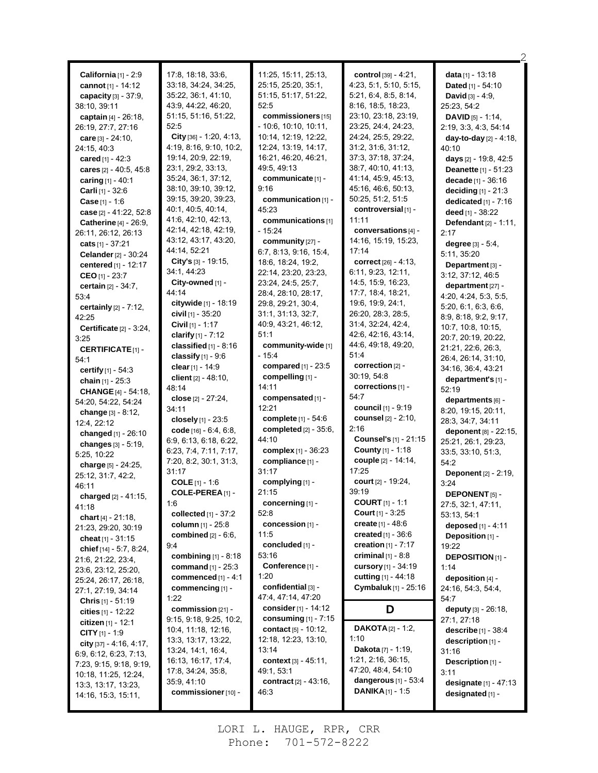|                                                     | 17:8, 18:18, 33:6,                          | 11:25, 15:11, 25:13,            |                                                    |                                                       |
|-----------------------------------------------------|---------------------------------------------|---------------------------------|----------------------------------------------------|-------------------------------------------------------|
| California [1] - 2:9                                | 33:18, 34:24, 34:25,                        | 25:15, 25:20, 35:1,             | control [39] - 4:21,<br>4.23, 5.1, 5.10, 5.15,     | data [1] - 13:18                                      |
| cannot [1] - 14:12                                  | 35:22, 36:1, 41:10,                         | 51:15, 51:17, 51:22,            | 5:21, 6:4, 8:5, 8:14,                              | Dated [1] - 54:10                                     |
| capacity $[3] - 37:9$ ,<br>38:10, 39:11             | 43:9, 44:22, 46:20,                         | 52:5                            | 8:16, 18:5, 18:23,                                 | <b>David</b> $[3] - 4:9$ ,<br>25:23, 54:2             |
|                                                     | 51:15, 51:16, 51:22,                        | commissioners [15]              | 23:10, 23:18, 23:19,                               |                                                       |
| captain [4] - 26:18,                                | 52:5                                        | - 10:6, 10:10, 10:11,           | 23:25, 24:4, 24:23,                                | <b>DAVID</b> [5] - 1:14,                              |
| 26:19, 27:7, 27:16                                  | City $[36] - 1:20, 4:13,$                   | 10:14, 12:19, 12:22,            | 24:24, 25:5, 29:22,                                | 2:19, 3:3, 4:3, 54:14<br>day-to-day [2] - 4:18,       |
| care $[3] - 24:10$ ,                                | 4.19, 8.16, 9.10, 10.2,                     | 12:24, 13:19, 14:17,            | 31:2, 31:6, 31:12,                                 | 40:10                                                 |
| 24:15, 40:3                                         | 19:14, 20:9, 22:19,                         | 16:21, 46:20, 46:21,            | 37:3, 37:18, 37:24,                                | days [2] - 19:8, 42:5                                 |
| cared $[1] - 42:3$                                  | 23:1, 29:2, 33:13,                          | 49.5, 49.13                     | 38:7, 40:10, 41:13,                                |                                                       |
| cares [2] - 40:5, 45:8                              | 35:24, 36:1, 37:12,                         | communicate [1] -               | 41:14, 45:9, 45:13,                                | <b>Deanette</b> $[1]$ - 51:23<br>decade $[1] - 36:16$ |
| caring [1] - 40:1<br>Carli [1] - 32:6               | 38:10, 39:10, 39:12,                        | 9:16                            | 45:16, 46:6, 50:13,                                | deciding $[1]$ - 21:3                                 |
| <b>Case</b> $[1] - 1:6$                             | 39:15, 39:20, 39:23,                        | communication [1] -             | 50:25, 51:2, 51:5                                  | dedicated $[1]$ - 7:16                                |
| case [2] - 41:22, 52:8                              | 40:1, 40:5, 40:14,                          | 45:23                           | controversial [1] -                                | deed [1] - 38:22                                      |
|                                                     | 41.6, 42.10, 42.13,                         | communications [1]              | 11:11                                              | <b>Defendant</b> $[2] - 1.11$ ,                       |
| <b>Catherine</b> [4] - 26:9,<br>26:11, 26:12, 26:13 | 42:14, 42:18, 42:19,                        | $-15:24$                        | conversations [4] -                                | 2:17                                                  |
| cats [1] - 37:21                                    | 43:12, 43:17, 43:20,                        | community [27] -                | 14:16, 15:19, 15:23,                               |                                                       |
| Celander [2] - 30:24                                | 44:14, 52:21                                | 6:7, 8:13, 9:16, 15:4,          | 17:14                                              | degree [3] - 5:4,<br>5:11, 35:20                      |
|                                                     | City's $[3] - 19.15$ ,                      | 18:6, 18:24, 19:2,              | correct $[26] - 4:13$ ,                            |                                                       |
| centered $[1] - 12:17$<br>CEO [1] - 23:7            | 34:1, 44:23                                 | 22:14, 23:20, 23:23,            | 6:11, 9:23, 12:11,                                 | Department [3] -<br>3:12, 37:12, 46:5                 |
|                                                     | City-owned $[1]$ -                          | 23:24. 24:5. 25:7.              | 14:5, 15:9, 16:23,                                 | department [27] -                                     |
| certain [2] - 34:7,<br>53:4                         | 44.14                                       | 28:4, 28:10, 28:17,             | 17:7, 18.4, 18.21,                                 | 4:20, 4:24, 5:3, 5:5,                                 |
|                                                     | citywide $[1]$ - 18:19                      | 29:8, 29:21, 30:4,              | 19:6, 19:9, 24:1,                                  | 5:20, 6:1, 6:3, 6:6,                                  |
| certainly [2] - 7:12,<br>42:25                      | civil [1] - 35:20                           | 31:1, 31:13, 32:7,              | 26:20, 28:3, 28:5,                                 | 8.9, 8.18, 9.2, 9.17,                                 |
|                                                     | <b>Civil</b> [1] - 1:17                     | 40.9, 43.21, 46.12,             | 31:4, 32:24, 42:4,                                 | 10:7, 10:8, 10:15,                                    |
| Certificate $[2] - 3.24$ ,<br>3:25                  | clarify $[1] - 7:12$                        | 51:1                            | 42:6, 42:16, 43:14,                                | 20:7, 20:19, 20:22,                                   |
| <b>CERTIFICATE</b> [1]-                             | classified $[1]$ - 8:16                     | community-wide [1]              | 44:6, 49:18, 49:20,                                | 21:21, 22:6, 26:3,                                    |
| 54:1                                                | classify $[1]$ - 9:6                        | $-15.4$                         | 51:4                                               | 26:4, 26:14, 31:10,                                   |
| <b>certify</b> $[1] - 54.3$                         | clear [1] - 14:9                            | compared [1] - 23:5             | correction [2] -                                   | 34:16, 36:4, 43:21                                    |
| chain $[1] - 25:3$                                  | client $[2] - 48:10$ ,                      | compelling [1] -                | 30:19, 54:8                                        | department's [1] -                                    |
| <b>CHANGE</b> [4] - 54:18,                          | 48:14                                       | 14:11                           | corrections [1] -                                  | 52:19                                                 |
| 54:20, 54:22, 54:24                                 | close [2] - 27:24,                          | compensated [1] -               | 54:7                                               | departments [6] -                                     |
| change $[3] - 8:12$ ,                               | 34:11                                       | 12:21                           | council [1] - 9:19                                 | 8:20, 19:15, 20:11,                                   |
| 12:4, 22:12                                         | closely [1] - 23:5                          | complete [1] - 54:6             | <b>counsel</b> [2] - 2:10,                         | 28:3, 34:7, 34:11                                     |
| changed [1] - 26:10                                 | code $[16] - 6.4, 6.8,$                     | completed $[2] - 35.6$ ,        | 2:16                                               | deponent [8] - 22:15,                                 |
| changes [3] - 5:19,                                 | 6.9, 6.13, 6.18, 6.22,                      | 44:10                           | <b>Counsel's</b> [1] - 21:15                       | 25:21, 26:1, 29:23,                                   |
| 5:25, 10:22                                         | 6:23, 7:4, 7:11, 7:17,                      | complex [1] - 36:23             | County [1] - 1:18                                  | 33:5, 33:10, 51:3,                                    |
| charge [5] - 24:25,                                 | 7:20, 8.2, 30:1, 31:3,                      | compliance [1] -                | couple [2] - 14:14,                                | 54:2                                                  |
| 25:12, 31:7, 42:2,                                  | 31:17                                       | 31:17                           | 17:25                                              | <b>Deponent</b> $[2] - 2:19$ ,                        |
| 46:11                                               | <b>COLE</b> $[1] - 1.6$                     | complying [1] -                 | court [2] - 19:24,                                 | 3:24                                                  |
| charged [2] - 41:15,                                | COLE-PEREA <sub>[1]</sub> -                 | 21:15                           | 39.19                                              | <b>DEPONENT</b> [5] -                                 |
| 41:18                                               | 1.6                                         | concerning [1] -                | <b>COURT</b> $[1] - 1:1$                           | 27:5, 32:1, 47:11,                                    |
| chart [4] - 21:18,                                  | collected $[1]$ - 37:2                      | 52:8                            | <b>Court</b> $[1] - 3:25$                          | 53:13, 54:1                                           |
| 21:23, 29:20, 30:19                                 | column $[1]$ - 25:8                         | concession [1] -<br>11:5        | create $[1] - 48.6$<br><b>created</b> $[1] - 36.6$ | deposed [1] - 4:11                                    |
| cheat $[1] - 31:15$                                 | combined $[2] - 6.6$ ,                      |                                 |                                                    | Deposition [1] -                                      |
| chief [14] - 5:7, 8:24,                             | 9:4                                         | concluded [1] -<br>53:16        | creation $[1] - 7:17$                              | 19:22                                                 |
| 21.6, 21.22, 23.4,                                  | combining $[1] - 8:18$                      | Conference [1] -                | <b>criminal</b> $[1] - 8.8$                        | <b>DEPOSITION</b> [1] -                               |
| 23.6, 23.12, 25.20,                                 | command [1] - 25:3<br>commenced $[1] - 4:1$ | 1:20                            | cursory [1] - 34:19<br>cutting $[1] - 44:18$       | 1:14                                                  |
| 25:24, 26:17, 26:18,                                |                                             | confidential [3] -              | Cymbaluk [1] - 25:16                               | deposition [4] -                                      |
| 27:1, 27:19, 34:14                                  | commencing [1] -<br>1:22                    | 47:4, 47:14, 47:20              |                                                    | 24:16, 54:3, 54:4,                                    |
| <b>Chris</b> $[1] - 51:19$                          | commission [21] -                           | consider [1] - 14:12            | D                                                  | 54:7<br>deputy [3] - 26:18,                           |
| cities $[1] - 12.22$                                | 9:15, 9:18, 9:25, 10:2,                     | consuming $[1]$ - 7:15          |                                                    | 27:1, 27:18                                           |
| <b>citizen</b> $[1]$ - 12:1                         | 10:4, 11:18, 12:16,                         | contact $[5] - 10:12$ ,         | <b>DAKOTA</b> $[2] - 1:2$ ,                        | describe [1] - 38:4                                   |
| <b>CITY</b> $[1]$ - 1:9                             | 13:3, 13:17, 13:22,                         | 12:18, 12:23, 13:10,            | 1:10                                               | description [1] -                                     |
| city [37] - 4:16, 4:17,                             | 13:24, 14:1, 16:4,                          | 13:14                           | Dakota [7] - 1:19,                                 | 31:16                                                 |
| 6.9, 6.12, 6.23, 7.13,                              | 16:13, 16:17, 17:4,                         | context [3] - 45:11,            | 1:21, 2:16, 36:15,                                 | Description [1] -                                     |
| 7:23, 9:15, 9:18, 9:19,                             | 17:8, 34:24, 35:8,                          | 49:1, 53:1                      | 47:20, 48:4, 54:10                                 | 3:11                                                  |
| 10:18, 11:25, 12:24,                                | 35:9, 41:10                                 | <b>contract</b> $[2] - 43:16$ , | dangerous [1] - 53:4                               | <b>designate</b> $[1] - 47:13$                        |
|                                                     |                                             |                                 |                                                    |                                                       |
| 13:3, 13:17, 13:23,<br>14:16, 15:3, 15:11,          | commissioner [10] -                         | 46:3                            | <b>DANIKA</b> $[1]$ - 1:5                          | designated [1] -                                      |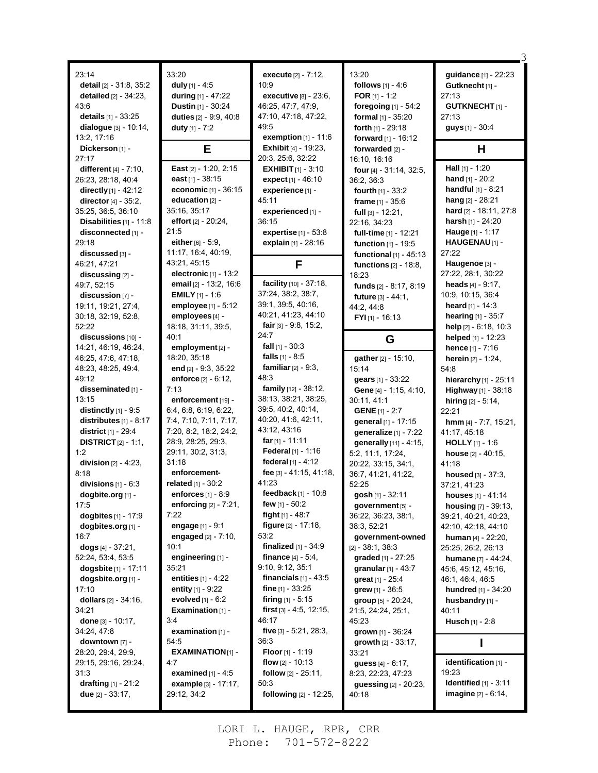| 23:14                                      | 33:20                                    | execute [2] - 7:12,                         | 13:20                                      | guidance [1] - 22:23                      |
|--------------------------------------------|------------------------------------------|---------------------------------------------|--------------------------------------------|-------------------------------------------|
| detail $[2] - 31.8, 35.2$                  |                                          | 10:9                                        | follows $[1] - 4.6$                        |                                           |
| detailed $[2] - 34:23$ ,                   | duly $[1] - 4.5$                         | executive $[8] - 23.6$ ,                    | FOR $[1] - 1:2$                            | Gutknecht [1] -<br>27:13                  |
| 43:6                                       | during [1] - 47:22<br>Dustin [1] - 30:24 | 46:25, 47:7, 47:9,                          |                                            | <b>GUTKNECHT</b> [1]-                     |
| details [1] - 33:25                        | duties [2] - 9:9, 40:8                   | 47:10, 47:18, 47:22,                        | foregoing [1] - 54:2<br>formal [1] - 35:20 | 27:13                                     |
|                                            |                                          | 49.5                                        |                                            |                                           |
| dialogue [3] - 10:14,<br>13:2, 17:16       | duty $[1] - 7:2$                         | exemption $[1] - 11:6$                      | forth [1] - 29:18                          | guys [1] - 30:4                           |
| Dickerson [1] -                            |                                          | <b>Exhibit [4] - 19:23.</b>                 | forward [1] - 16:12                        | H                                         |
| 27:17                                      | Е                                        | 20:3, 25:6, 32:22                           | forwarded [2] -                            |                                           |
| different $[4] - 7:10$ ,                   | East [2] - 1:20, 2:15                    | <b>EXHIBIT</b> $[1] - 3:10$                 | 16:10, 16:16<br>four [4] - 31:14, 32:5,    | Hall [1] - 1:20                           |
| 26:23, 28:18, 40:4                         | <b>east</b> $[1]$ - 38:15                | expect [1] - 46:10                          | 36:2, 36:3                                 | hand [1] - 20:2                           |
| directly [1] - 42:12                       | economic [1] - 36:15                     | experience [1] -                            |                                            | <b>handful</b> $[1] - 8:21$               |
| director $[4] - 35:2$ ,                    | education [2] -                          | 45:11                                       | fourth $[1] - 33.2$                        | hang [2] - 28:21                          |
| 35:25, 36:5, 36:10                         | 35:16, 35:17                             | experienced [1] -                           | frame $[1] - 35.6$                         | hard [2] - 18:11, 27:8                    |
| Disabilities $[1] - 11.8$                  | effort $[2] - 20:24$ ,                   | 36:15                                       | $full$ [3] - 12:21,                        | harsh [1] - 24:20                         |
|                                            | 21:5                                     |                                             | 22:16, 34:23                               | Hauge [1] - 1:17                          |
| disconnected [1] -<br>29:18                | either [6] - 5:9,                        | expertise [1] - 53:8<br>explain [1] - 28:16 | full-time [1] - 12:21                      | HAUGENAU <sup>[1]</sup> -                 |
| discussed [3] -                            | 11:17, 16:4, 40:19,                      |                                             | function [1] - 19:5                        | 27:22                                     |
| 46:21, 47:21                               | 43:21, 45:15                             |                                             | functional $[1]$ - 45:13                   | Haugenoe [3] -                            |
|                                            | electronic $[1]$ - 13:2                  | F                                           | functions [2] - 18:8,                      | 27:22, 28:1, 30:22                        |
| discussing [2] -                           | email [2] - 13:2, 16:6                   | facility [10] - 37:18,                      | 18:23                                      |                                           |
| 49:7, 52:15                                | <b>EMILY</b> $[1]$ - 1:6                 | 37:24, 38:2, 38:7,                          | funds [2] - 8:17, 8:19                     | heads $[4] - 9:17$ ,<br>10:9, 10:15, 36:4 |
| discussion [7] -<br>19:11, 19:21, 27:4,    | employee [1] - 5:12                      | 39:1, 39:5, 40:16,                          | future [3] - 44:1,                         | heard $[1] - 14:3$                        |
|                                            | employees [4] -                          | 40:21, 41:23, 44:10                         | 44:2, 44:8                                 | hearing $[1] - 35:7$                      |
| 30:18, 32:19, 52:8,<br>52:22               | 18:18, 31:11, 39:5,                      | fair $[3] - 9.8, 15.2,$                     | $FYI_{[1]} - 16:13$                        |                                           |
| discussions [10] -                         | 40:1                                     | 24.7                                        |                                            | help [2] - 6:18, 10:3                     |
| 14:21, 46:19, 46:24,                       | employment [2] -                         | fall $[1]$ - 30:3                           | G                                          | helped [1] - 12:23                        |
|                                            | 18:20, 35:18                             | falls $[1] - 8.5$                           |                                            | hence $[1] - 7:16$                        |
| 46:25, 47:6, 47:18,<br>48:23, 48:25, 49:4, | end [2] - 9:3, 35:22                     | <b>familiar</b> $[2] - 9.3$ ,               | gather [2] - 15:10,<br>15:14               | <b>herein</b> $[2] - 1:24$ ,<br>54:8      |
| 49:12                                      | enforce <sup>[2]</sup> - 6:12,           | 48:3                                        | gears [1] - 33:22                          |                                           |
| disseminated [1] -                         | 7:13                                     | family [12] - 38:12,                        |                                            | hierarchy [1] - 25:11                     |
| 13:15                                      | enforcement [19] -                       | 38:13, 38:21, 38:25,                        | Gene [4] - 1:15, 4:10,<br>30:11, 41:1      | Highway [1] - 38:18                       |
| distinctly $[1]$ - 9:5                     | 6.4, 6.8, 6.19, 6.22,                    | 39:5, 40:2, 40:14,                          | <b>GENE</b> [1] - 2:7                      | hiring $[2] - 5.14$ ,<br>22:21            |
| distributes $[1] - 8.17$                   | 7:4, 7:10, 7:11, 7:17,                   | 40:20, 41:6, 42:11,                         | general [1] - 17:15                        | hmm [4] - 7:7, 15:21,                     |
| district [1] - 29:4                        | 7:20, 8:2, 18:2, 24:2,                   | 43.12, 43.16                                | generalize [1] - 7:22                      | 41:17, 45:18                              |
| <b>DISTRICT</b> $[2] - 1.1$ ,              | 28:9, 28:25, 29:3,                       | far $[1] - 11:11$                           | generally [11] - 4:15,                     | <b>HOLLY</b> $[1] - 1.6$                  |
| 1:2                                        | 29:11, 30:2, 31:3,                       | Federal [1] - 1:16                          | 5:2, 11:1, 17:24,                          | house [2] - 40:15,                        |
| division $[2] - 4:23$ ,                    | 31:18                                    | federal [1] - 4:12                          | 20:22, 33:15, 34:1,                        | 41:18                                     |
| 8:18                                       | enforcement-                             | fee [3] - 41:15, 41:18,                     | 36:7, 41:21, 41:22,                        |                                           |
| divisions $[1] - 6:3$                      | related [1] - 30:2                       | 41:23                                       | 52:25                                      | housed [3] - 37:3,                        |
| dogbite.org [1] -                          | enforces [1] - 8:9                       | feedback [1] - 10:8                         | gosh [1] - 32:11                           | 37.21, 41.23<br>houses $[1] - 41:14$      |
| 17:5                                       | enforcing $[2] - 7:21$ ,                 | few $[1] - 50.2$                            | government [5] -                           | housing [7] - 39:13,                      |
| dogbites [1] - 17:9                        | 7:22                                     | fight $[1] - 48.7$                          | 36:22, 36:23, 38:1,                        | 39:21, 40:21, 40:23,                      |
| dogbites.org [1] -                         | engage [1] - 9:1                         | <b>figure</b> [2] - 17:18,                  | 38:3, 52:21                                | 42:10, 42:18, 44:10                       |
| 16:7                                       | engaged $[2] - 7:10$ ,                   | 53:2                                        | government-owned                           | human $[4] - 22:20$ ,                     |
| dogs [4] - 37:21,                          | 10:1                                     | finalized $[1]$ - 34:9                      | $[2] - 38.1, 38.3$                         | 25:25, 26:2, 26:13                        |
| 52:24, 53:4, 53:5                          | engineering [1] -                        | <b>finance</b> $[4] - 5.4$ ,                | graded [1] - 27:25                         | humane [7] - 44:24,                       |
| dogsbite [1] - 17:11                       | 35:21                                    | 9:10, 9:12, 35:1                            | granular $[1] - 43.7$                      | 45:6, 45:12, 45:16,                       |
| dogsbite.org [1] -                         | entities $[1] - 4:22$                    | financials $[1]$ - 43:5                     | great $[1] - 25.4$                         | 46:1, 46:4, 46:5                          |
| 17:10                                      | entity $[1] - 9:22$                      | fine $[1] - 33:25$                          | grew $[1] - 36.5$                          | hundred [1] - 34:20                       |
| dollars $[2] - 34:16$ ,                    | evolved [1] - 6:2                        | firing $[1] - 5.15$                         | group [5] - 20:24,                         | husbandry [1] -                           |
| 34:21                                      | Examination $[1]$ -                      | first $[3] - 4.5, 12.15,$                   | 21:5, 24:24, 25:1,                         | 40:11                                     |
| done [3] - 10:17,                          | 3:4                                      | 46:17                                       | 45:23                                      | <b>Husch</b> $[1] - 2:8$                  |
| 34:24, 47:8                                | examination [1] -                        | five [3] - 5:21, 28:3,                      | grown [1] - 36:24                          |                                           |
| $downown$ [7] -                            | 54:5                                     | 36:3                                        | growth $[2] - 33.17$ ,                     |                                           |
| 28:20, 29:4, 29:9,                         | $EXAMPLE$ XAMINATION $[1]$ -             | <b>Floor</b> [1] - 1:19                     | 33:21                                      |                                           |
| 29:15, 29:16, 29:24,                       | 4.7                                      | flow $[2] - 10:13$                          | guess [4] - 6:17,                          | identification [1] -                      |
| 31:3                                       | examined $[1] - 4.5$                     | <b>follow</b> $[2] - 25:11$ ,               | 8:23, 22:23, 47:23                         | 19:23                                     |
| drafting $[1] - 21:2$                      | example [3] - 17:17,                     | 50:3                                        | guessing [2] - 20:23,                      | Identified $[1] - 3.11$                   |
| <b>due</b> $[2] - 33:17$ ,                 | 29:12, 34:2                              | following [2] - 12:25,                      | 40:18                                      | <b>imagine</b> $[2] - 6:14$ ,             |
|                                            |                                          |                                             |                                            |                                           |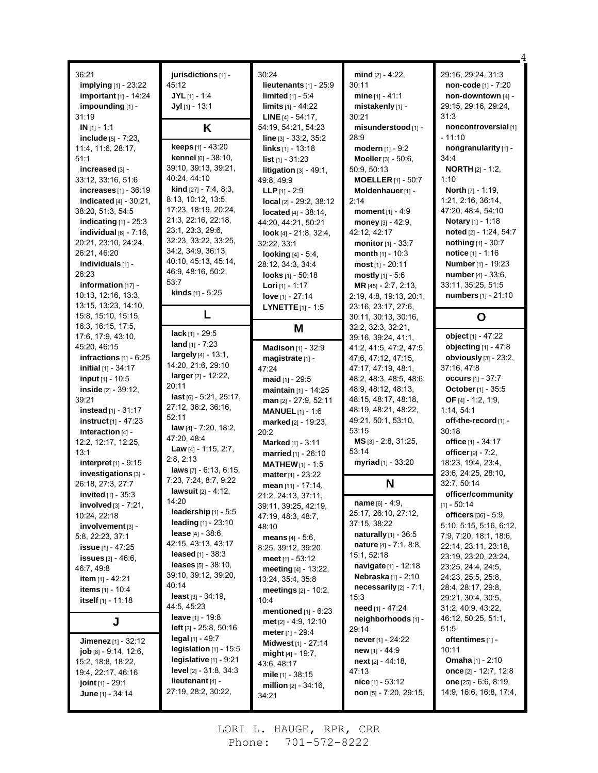| 36:21                                     | jurisdictions [1] -                       | 30:24                          | mind [2] - 4:22,                | 29:16, 29:24, 31:3                          |
|-------------------------------------------|-------------------------------------------|--------------------------------|---------------------------------|---------------------------------------------|
| <b>implying</b> [1] - 23:22               | 45:12                                     | lieutenants $[1]$ - 25:9       | 30:11                           | non-code [1] - 7:20                         |
| important $[1]$ - 14:24                   | $JYL$ <sub>[1]</sub> - 1:4                | limited $[1] - 5.4$            | mine $[1] - 41:1$               | non-downtown [4] -                          |
| impounding [1] -                          | $Jyl$ [1] - 13:1                          | limits [1] - 44:22             | mistakenly [1] -                | 29:15, 29:16, 29:24,                        |
| 31:19                                     |                                           | <b>LINE</b> $[4] - 54:17$ ,    | 30:21                           | 31:3                                        |
| $IN$ [1] - 1:1                            | Κ                                         | 54:19, 54:21, 54:23            | misunderstood [1] -             | noncontroversial [1]                        |
| include $[5] - 7:23$ ,                    |                                           | line [3] - 33:2, 35:2          | 28:9                            | - 11:10                                     |
| 11:4, 11:6, 28:17,                        | keeps [1] - 43:20                         | <b>links</b> $[1] - 13:18$     | modern $[1] - 9:2$              | nongranularity [1] -                        |
| 51:1                                      | kennel [6] - 38:10,                       | $list$ [1] - 31:23             | Moeller [3] - 50:6.             | 34:4                                        |
| increased [3] -                           | 39:10, 39:13, 39:21,                      | litigation $[3] - 49:1$ ,      | 50:9, 50:13                     | <b>NORTH</b> $[2] - 1:2$                    |
| 33:12, 33:16, 51:6                        | 40:24, 44:10                              | 49.8, 49.9                     | <b>MOELLER</b> [1] - 50:7       | 1:10                                        |
| increases $[1]$ - 36:19                   | <b>kind</b> $[27] - 7.4, 8.3$ ,           | <b>LLP</b> $[1] - 2:9$         | Moldenhauer [1] -               | <b>North</b> $[7] - 1:19$ ,                 |
| <b>indicated</b> $[4] - 30.21$ ,          | 8:13, 10:12, 13:5,                        | $local$ $[2] - 29:2, 38:12$    | 2:14                            | 1:21, 2:16, 36:14,                          |
| 38:20, 51:3, 54:5                         | 17:23, 18:19, 20:24,                      | <b>located</b> $[4] - 38:14$ , | moment $[1] - 4:9$              | 47:20, 48:4, 54:10                          |
| indicating $[1]$ - 25:3                   | 21:3, 22:16, 22:18,                       | 44:20, 44:21, 50:21            | money $[3] - 42:9$ ,            | <b>Notary</b> [1] - 1:18                    |
| individual $[6]$ - $7:16$ ,               | 23:1, 23:3, 29:6,                         | look [4] - $21:8, 32:4,$       | 42:12, 42:17                    | noted [2] - 1:24, 54:7                      |
| 20:21, 23:10, 24:24,                      | 32:23, 33:22, 33:25,                      | 32:22, 33:1                    | <b>monitor</b> $[1] - 33:7$     | nothing [1] - 30:7                          |
| 26:21, 46:20                              | 34:2, 34:9, 36:13,                        | looking $[4] - 5.4$ ,          | month $[1] - 10:3$              | <b>notice</b> $[1] - 1:16$                  |
| individuals [1] -                         | 40:10, 45:13, 45:14,                      | 28:12, 34:3, 34:4              | <b>most</b> $[1]$ - 20:11       | Number [1] - 19:23                          |
| 26:23                                     | 46:9, 48:16, 50:2,                        | looks $[1] - 50:18$            | mostly $[1] - 5.6$              | number [4] - 33:6,                          |
| information [17] -                        | 53:7                                      | <b>Lori</b> $[1]$ - 1:17       | MR (45) - 2:7, 2:13,            | 33:11, 35:25, 51:5                          |
| 10:13, 12:16, 13:3,                       | <b>kinds</b> $[1] - 5:25$                 | love [1] - 27:14               | 2.19, 4.8, 19.13, 20.1,         | numbers [1] - 21:10                         |
| 13:15, 13:23, 14:10,                      |                                           | <b>LYNETTE</b> $[1]$ - 1:5     | 23:16, 23:17, 27:6,             |                                             |
| 15:8, 15:10, 15:15,                       | L                                         |                                | 30:11, 30:13, 30:16,            | O                                           |
| 16:3, 16:15, 17:5,                        |                                           | M                              | 32:2, 32:3, 32:21,              |                                             |
| 17:6, 17:9, 43:10,                        | $lack [1] - 29.5$                         |                                | 39:16, 39:24, 41:1,             | object [1] - 47:22                          |
| 45:20, 46:15                              | land $[1] - 7:23$                         | Madison [1] - 32:9             | 41:2, 41:5, 47:2, 47:5,         | objecting [1] - 47:8                        |
| infractions $[1] - 6:25$                  | largely [4] - 13:1,<br>14:20, 21:6, 29:10 | magistrate [1] -               | 47:6, 47:12, 47:15,             | obviously [3] - 23:2,                       |
| <b>initial</b> [1] - 34:17                | $larger_{[2]} - 12:22,$                   | 47:24                          | 47:17, 47:19, 48:1,             | 37:16, 47:8                                 |
| input [1] - 10:5                          | 20:11                                     | maid $[1]$ - 29:5              | 48:2, 48:3, 48:5, 48:6,         | occurs $[1] - 37:7$                         |
| inside $[2] - 39:12$ ,                    | $last$ [6] - 5:21, 25:17,                 | maintain [1] - 14:25           | 48.9, 48.12, 48.13,             | October [1] - 35:5                          |
| 39:21                                     | 27:12, 36:2, 36:16,                       | man [2] - 27:9, 52:11          | 48:15, 48:17, 48:18,            | OF $[4] - 1:2, 1:9,$                        |
| <b>instead</b> $[1] - 31:17$              | 52:11                                     | <b>MANUEL</b> $[1] - 1.6$      | 48:19, 48:21, 48:22,            | 1:14, 54:1                                  |
| $instructor_{[1]} - 47:23$                | <b>law</b> [4] - 7:20, 18:2,              | marked [2] - 19:23,            | 49:21, 50:1, 53:10,             | off-the-record [1] -                        |
| interaction $[4]$ -                       | 47:20, 48:4                               | 20:2                           | 53:15                           | 30:18                                       |
| 12:2, 12:17, 12:25,                       | <b>Law</b> $[4] - 1:15, 2:7$ ,            | Marked [1] - 3:11              | $MS$ [3] - 2:8, 31:25,<br>53:14 | office [1] - 34:17                          |
| 13:1                                      | 2:8, 2:13                                 | married [1] - 26:10            | myriad [1] - 33:20              | officer $[9] - 7:2$ ,<br>18:23, 19:4, 23:4, |
| interpret $[1]$ - 9:15                    | <b>laws</b> $[7] - 6:13, 6:15,$           | <b>MATHEW</b> $[1]$ - 1:5      |                                 | 23:6, 24:25, 28:10,                         |
| investigations [3] -<br>26:18, 27:3, 27:7 | 7:23, 7:24, 8:7, 9:22                     | matter [1] - 23:22             | N                               | 32:7, 50:14                                 |
| <b>invited</b> $[1] - 35:3$               | <b>lawsuit</b> $[2] - 4:12$ ,             | mean [11] - 17:14,             |                                 | officer/community                           |
|                                           | 14:20                                     | 21:2, 24:13, 37:11,            | name $[6] - 4:9$ ,              | $[1] - 50:14$                               |
| involved $[3] - 7:21$ ,<br>10:24, 22:18   | leadership [1] - 5:5                      | 39:11, 39:25, 42:19,           | 25:17, 26:10, 27:12,            | <b>officers</b> [36] - 5:9,                 |
| $involvement$ [3] -                       | <b>leading</b> $[1] - 23:10$              | 47:19, 48:3, 48:7,<br>48:10    | 37:15, 38:22                    | 5:10, 5:15, 5:16, 6:12,                     |
| 5.8, 22:23, 37:1                          | <b>lease</b> $[4] - 38.6$                 | <b>means</b> $[4] - 5:6$ ,     | <b>naturally</b> $[1]$ - 36:5   | 7:9, 7:20, 18:1, 18:6,                      |
| <b>issue</b> $[1] - 47:25$                | 42:15, 43:13, 43:17                       | 8:25, 39:12, 39:20             | <b>nature</b> $[4] - 7:1, 8:8,$ | 22:14, 23:11, 23:18,                        |
| <b>issues</b> $[3] - 46.6$ ,              | <b>leased</b> $[1] - 38:3$                | meet $[1] - 53.12$             | 15:1, 52:18                     | 23:19, 23:20, 23:24,                        |
| 46.7, 49.8                                | leases [5] - 38:10,                       | meeting [4] - 13:22,           | navigate [1] - 12:18            | 23:25, 24:4, 24:5,                          |
| item $[1] - 42:21$                        | 39:10, 39:12, 39:20,                      | 13:24, 35:4, 35:8              | <b>Nebraska</b> [1] - 2:10      | 24:23, 25:5, 25:8,                          |
| <b>items</b> $[1] - 10.4$                 | 40:14                                     | meetings $[2] - 10:2$ ,        | necessarily $[2] - 7:1$ ,       | 28:4, 28:17, 29:8,                          |
| itself [1] - 11:18                        | <b>least</b> $[3] - 34.19$ ,              | 10:4                           | 15:3                            | 29:21, 30:4, 30:5,                          |
|                                           | 44:5, 45:23                               | mentioned $[1] - 6:23$         | need [1] - 47:24                | 31:2, 40:9, 43:22,                          |
| J                                         | <b>leave</b> $[1]$ - 19:8                 | met [2] - 4:9, 12:10           | neighborhoods [1] -             | 46:12, 50:25, 51:1,                         |
|                                           | <b>left</b> $[2] - 25.8, 50.16$           | <b>meter</b> $[1] - 29:4$      | 29:14                           | 51:5                                        |
| Jimenez $[1] - 32:12$                     | legal $[1]$ - 49:7                        | Midwest [1] - 27:14            | <b>never</b> [1] - 24:22        | oftentimes $[1]$ -                          |
| <b>job</b> $[8] - 9.14$ , $12.6$ ,        | legislation $[1]$ - 15:5                  | might $[4] - 19.7$ ,           | new $[1] - 44.9$                | 10:11                                       |
| 15:2, 18:8, 18:22,                        | legislative $[1]$ - $9:21$                | 43:6, 48:17                    | $next[2] - 44:18,$              | <b>Omaha</b> $[1] - 2:10$                   |
| 19:4, 22:17, 46:16                        | <b>level</b> $[2] - 31.8, 34.3$           | mile $[1] - 38:15$             | 47:13                           | once $[2] - 12:7, 12:8$                     |
| joint [1] - 29:1                          | lieutenant $[4]$ -                        | <b>million</b> $[2] - 34:16$ , | nice [1] - 53:12                | one $[25] - 6.6, 8.19,$                     |
| June [1] - 34:14                          | 27:19, 28:2, 30:22,                       | 34:21                          | non $[5]$ - 7:20, 29:15,        | 14:9, 16:6, 16:8, 17:4,                     |
|                                           |                                           |                                |                                 |                                             |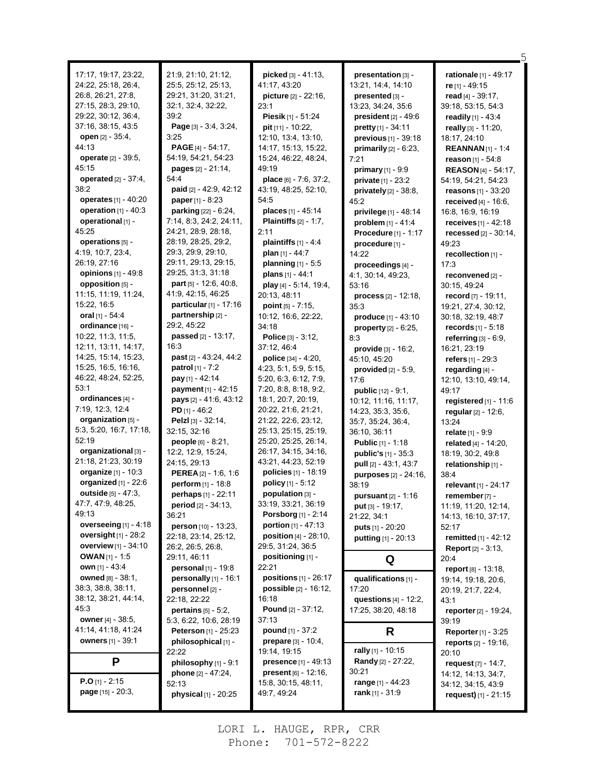| 17:17, 19:17, 23:22,<br>24:22, 25:18, 26:4,<br>26:8, 26:21, 27:8,<br>27:15, 28:3, 29:10,<br>29:22, 30:12, 36:4,<br>37:16, 38:15, 43:5<br><b>open</b> $[2] - 35:4$ ,<br>44.13<br><b>operate</b> [2] - 39:5,<br>45:15<br><b>operated</b> $[2] - 37:4$ ,<br>38:2<br><b>operates</b> [1] - 40:20<br>operation $[1] - 40:3$<br>operational [1] -<br>45:25<br>operations [5] -<br>4:19, 10:7, 23:4,<br>26:19, 27:16<br>opinions [1] - 49:8<br>opposition [5] -<br>11:15, 11:19, 11:24,<br>15:22, 16:5<br>oral [1] - 54:4<br>ordinance [16] -<br>10.22, 11:3, 11:5,<br>12:11, 13:11, 14:17,<br>14:25, 15:14, 15:23,<br>15:25, 16:5, 16:16,<br>46.22, 48:24, 52:25,<br>53:1<br>ordinances [4] -<br>7:19, 12:3, 12:4<br>organization [5] -<br>5:3, 5:20, 16:7, 17:18,<br>52:19 | 21:9, 21:10, 21:12,<br>25:5, 25:12, 25:13,<br>29:21, 31:20, 31:21,<br>32:1, 32:4, 32:22,<br>39:2<br>Page $[3] - 3.4, 3.24,$<br>3:25<br><b>PAGE</b> $[4] - 54:17$ ,<br>54:19, 54:21, 54:23<br><b>pages</b> $[2] - 21.14$ ,<br>54:4<br>paid [2] - 42:9, 42:12<br><b>paper</b> $[1] - 8:23$<br><b>parking</b> $[22] - 6.24$ ,<br>7:14, 8:3, 24:2, 24:11,<br>24:21, 28:9, 28:18,<br>28:19, 28:25, 29:2,<br>29:3, 29:9, 29:10,<br>29:11, 29:13, 29:15,<br>29:25, 31:3, 31:18<br><b>part</b> [5] - 12:6, 40:8,<br>41.9, 42.15, 46.25<br>particular $[1]$ - 17:16<br>partnership [2] -<br>29:2, 45:22<br>passed [2] - 13:17,<br>16:3<br>past [2] - 43:24, 44:2<br><b>patrol</b> $[1] - 7:2$<br>pay [1] - 42:14<br>payment [1] - 42:15<br>pays [2] - 41:6, 43:12<br><b>PD</b> $[1] - 46:2$<br>Pelzl [3] - 32:14,<br>32:15, 32:16 | picked $[3] - 41:13$ ,<br>41:17, 43:20<br><b>picture</b> $[2] - 22:16$ ,<br>23:1<br>Piesik [1] - 51:24<br>pit [11] - 10:22,<br>12:10, 13:4, 13:10,<br>14:17, 15:13, 15:22,<br>15:24, 46:22, 48:24,<br>49:19<br>place [6] - 7:6, 37:2,<br>43:19, 48:25, 52:10,<br>54.5<br>places [1] - 45:14<br><b>Plaintiffs</b> $[2] - 1:7$ ,<br>2:11<br>plaintiffs $[1] - 4.4$<br>plan [1] - 44:7<br>planning [1] - 5:5<br>plans $[1] - 44:1$<br>play [4] - 5:14, 19:4,<br>20:13, 48:11<br><b>point</b> $[5] - 7:15$ ,<br>10:12, 16:6, 22:22,<br>34:18<br>Police [3] - 3:12,<br>37:12, 46:4<br>police $[34] - 4:20$ ,<br>4:23, 5:1, 5:9, 5:15,<br>5:20, 6:3, 6:12, 7:9,<br>7:20, 8:8, 8:18, 9:2,<br>18:1, 20:7, 20:19,<br>20:22, 21:6, 21:21,<br>21:22, 22:6, 23:12,<br>25:13, 25:15, 25:19, | presentation [3] -<br>13:21, 14:4, 14:10<br>presented $[3]$ -<br>13:23, 34:24, 35:6<br>president $[2] - 49.6$<br>pretty [1] - 34:11<br>previous [1] - 39:18<br>primarily $[2] - 6:23$ ,<br>7:21<br>primary $[1] - 9.9$<br>private [1] - 23:2<br>privately $[2]$ - 38:8,<br>45:2<br>privilege $[1] - 48.14$<br><b>problem</b> $[1] - 41.4$<br>Procedure [1] - 1:17<br>procedure [1] -<br>14:22<br>proceedings [4] -<br>4:1, 30:14, 49:23,<br>53:16<br>process <sup>[2]</sup> - 12:18,<br>35:3<br>produce [1] - 43:10<br>property $[2] - 6.25$ ,<br>8:3<br><b>provide</b> $[3] - 16.2$ ,<br>45:10, 45:20<br>provided $[2] - 5.9$ ,<br>17:6<br><b>public</b> $[12] - 9:1$ ,<br>10:12, 11:16, 11:17,<br>14:23, 35:3, 35:6,<br>35:7, 35:24, 36:4,<br>36:10, 36:11 | <b>rationale</b> [1] - 49:17<br>re [1] - 49:15<br>read $[4] - 39:17$ ,<br>39:18, 53:15, 54:3<br>readily $[1] - 43.4$<br>really [3] - 11:20,<br>18:17, 24:10<br><b>REANNAN</b> $[1] - 1.4$<br>reason $[1] - 54.8$<br><b>REASON</b> [4] - 54:17,<br>54:19, 54:21, 54:23<br>reasons [1] - 33:20<br><b>received</b> $[4] - 16.6$ ,<br>16.8, 16.9, 16.19<br>receives $[1] - 42.18$<br>recessed $[2] - 30.14$ ,<br>49:23<br>recollection [1] -<br>17:3<br>reconvened [2] -<br>30:15, 49:24<br>record $[7] - 19:11$ ,<br>19:21, 27:4, 30:12,<br>30:18, 32:19, 48:7<br><b>records</b> $[1] - 5:18$<br>referring [3] - 6:9,<br>16:21, 23:19<br><b>refers</b> $[1] - 29:3$<br>regarding [4] -<br>12:10, 13:10, 49:14,<br>49:17<br>registered $[1]$ - 11:6<br>regular $[2] - 12:6$ ,<br>13:24<br>relate $[1] - 9.9$ |
|-----------------------------------------------------------------------------------------------------------------------------------------------------------------------------------------------------------------------------------------------------------------------------------------------------------------------------------------------------------------------------------------------------------------------------------------------------------------------------------------------------------------------------------------------------------------------------------------------------------------------------------------------------------------------------------------------------------------------------------------------------------------------|--------------------------------------------------------------------------------------------------------------------------------------------------------------------------------------------------------------------------------------------------------------------------------------------------------------------------------------------------------------------------------------------------------------------------------------------------------------------------------------------------------------------------------------------------------------------------------------------------------------------------------------------------------------------------------------------------------------------------------------------------------------------------------------------------------------------------|--------------------------------------------------------------------------------------------------------------------------------------------------------------------------------------------------------------------------------------------------------------------------------------------------------------------------------------------------------------------------------------------------------------------------------------------------------------------------------------------------------------------------------------------------------------------------------------------------------------------------------------------------------------------------------------------------------------------------------------------------------------------------------|--------------------------------------------------------------------------------------------------------------------------------------------------------------------------------------------------------------------------------------------------------------------------------------------------------------------------------------------------------------------------------------------------------------------------------------------------------------------------------------------------------------------------------------------------------------------------------------------------------------------------------------------------------------------------------------------------------------------------------------------------------------|----------------------------------------------------------------------------------------------------------------------------------------------------------------------------------------------------------------------------------------------------------------------------------------------------------------------------------------------------------------------------------------------------------------------------------------------------------------------------------------------------------------------------------------------------------------------------------------------------------------------------------------------------------------------------------------------------------------------------------------------------------------------------------------------------------|
| organizational [3] -<br>21:18, 21:23, 30:19<br><b>organize</b> [1] - 10:3                                                                                                                                                                                                                                                                                                                                                                                                                                                                                                                                                                                                                                                                                             | people [6] - 8:21,<br>12:2, 12:9, 15:24,<br>24:15, 29:13<br>PEREA [2] - 1:6, 1:6                                                                                                                                                                                                                                                                                                                                                                                                                                                                                                                                                                                                                                                                                                                                         | 25:20, 25:25, 26:14,<br>26:17, 34:15, 34:16,<br>43:21, 44:23, 52:19<br>policies [1] - 18:19                                                                                                                                                                                                                                                                                                                                                                                                                                                                                                                                                                                                                                                                                    | <b>Public</b> [1] - 1:18<br>public's $[1] - 35.3$<br>pull [2] - 43:1, 43:7<br><b>purposes</b> [2] - 24:16,                                                                                                                                                                                                                                                                                                                                                                                                                                                                                                                                                                                                                                                   | related [4] - 14:20,<br>18:19, 30:2, 49:8<br>relationship [1] -<br>38.4                                                                                                                                                                                                                                                                                                                                                                                                                                                                                                                                                                                                                                                                                                                                  |
| organized $[1]$ - 22:6<br>outside [5] - 47:3.<br>47:7, 47:9, 48:25,<br>49:13<br>overseeing $[1]$ - 4:18<br>oversight $[1]$ - 28:2<br><b>overview</b> [1] - 34:10                                                                                                                                                                                                                                                                                                                                                                                                                                                                                                                                                                                                      | perform $[1] - 18.8$<br>perhaps [1] - 22:11<br>period [2] - 34:13,<br>36:21<br>person [10] - 13:23,<br>22:18, 23:14, 25:12,<br>26:2, 26:5, 26:8,                                                                                                                                                                                                                                                                                                                                                                                                                                                                                                                                                                                                                                                                         | policy [1] - 5:12<br>population [3] -<br>33:19, 33:21, 36:19<br><b>Porsborg</b> [1] - 2:14<br>portion [1] - 47:13<br><b>position</b> $[4] - 28:10$ ,<br>29:5, 31:24, 36:5                                                                                                                                                                                                                                                                                                                                                                                                                                                                                                                                                                                                      | 38:19<br><b>pursuant</b> $[2] - 1:16$<br>put [3] - 19:17,<br>21:22, 34:1<br>puts [1] - 20:20<br>putting [1] - 20:13                                                                                                                                                                                                                                                                                                                                                                                                                                                                                                                                                                                                                                          | relevant [1] - 24:17<br>remember [7] -<br>11:19, 11:20, 12:14,<br>14:13, 16:10, 37:17,<br>52:17<br>remitted [1] - 42:12<br><b>Report</b> $[2] - 3:13$ ,                                                                                                                                                                                                                                                                                                                                                                                                                                                                                                                                                                                                                                                  |
| <b>OWAN</b> [1] - 1:5<br><b>own</b> $[1] - 43:4$                                                                                                                                                                                                                                                                                                                                                                                                                                                                                                                                                                                                                                                                                                                      | 29:11, 46:11<br>personal [1] - 19:8                                                                                                                                                                                                                                                                                                                                                                                                                                                                                                                                                                                                                                                                                                                                                                                      | positioning [1] -<br>22:21                                                                                                                                                                                                                                                                                                                                                                                                                                                                                                                                                                                                                                                                                                                                                     | Q                                                                                                                                                                                                                                                                                                                                                                                                                                                                                                                                                                                                                                                                                                                                                            | 20:4<br>report [8] - 13:18,                                                                                                                                                                                                                                                                                                                                                                                                                                                                                                                                                                                                                                                                                                                                                                              |
| <b>owned</b> [8] - 38:1,<br>38:3, 38:8, 38:11,<br>38:12, 38:21, 44:14,<br>45:3<br>owner [4] - 38:5,                                                                                                                                                                                                                                                                                                                                                                                                                                                                                                                                                                                                                                                                   | personally [1] - 16:1<br>personnel [2] -<br>22:18, 22:22<br>pertains $[5] - 5.2$ ,<br>5:3, 6:22, 10:6, 28:19                                                                                                                                                                                                                                                                                                                                                                                                                                                                                                                                                                                                                                                                                                             | positions [1] - 26:17<br>possible [2] - 16:12,<br>16:18<br>Pound [2] - 37:12,<br>37:13                                                                                                                                                                                                                                                                                                                                                                                                                                                                                                                                                                                                                                                                                         | qualifications [1] -<br>17:20<br>questions $[4]$ - 12:2,<br>17:25, 38:20, 48:18                                                                                                                                                                                                                                                                                                                                                                                                                                                                                                                                                                                                                                                                              | 19:14, 19:18, 20:6,<br>20:19, 21:7, 22:4,<br>43:1<br>reporter $[2] - 19:24$ ,<br>39:19                                                                                                                                                                                                                                                                                                                                                                                                                                                                                                                                                                                                                                                                                                                   |
| 41:14, 41:18, 41:24                                                                                                                                                                                                                                                                                                                                                                                                                                                                                                                                                                                                                                                                                                                                                   | <b>Peterson</b> [1] - 25:23                                                                                                                                                                                                                                                                                                                                                                                                                                                                                                                                                                                                                                                                                                                                                                                              | <b>pound</b> $[1] - 37:2$                                                                                                                                                                                                                                                                                                                                                                                                                                                                                                                                                                                                                                                                                                                                                      | R                                                                                                                                                                                                                                                                                                                                                                                                                                                                                                                                                                                                                                                                                                                                                            | <b>Reporter</b> [1] - 3:25                                                                                                                                                                                                                                                                                                                                                                                                                                                                                                                                                                                                                                                                                                                                                                               |
| <b>owners</b> $[1]$ - 39:1                                                                                                                                                                                                                                                                                                                                                                                                                                                                                                                                                                                                                                                                                                                                            | philosophical [1] -<br>22:22                                                                                                                                                                                                                                                                                                                                                                                                                                                                                                                                                                                                                                                                                                                                                                                             | <b>prepare</b> $[3] - 10.4$<br>19:14, 19:15                                                                                                                                                                                                                                                                                                                                                                                                                                                                                                                                                                                                                                                                                                                                    | rally [1] - 10:15                                                                                                                                                                                                                                                                                                                                                                                                                                                                                                                                                                                                                                                                                                                                            | <b>reports</b> [2] - 19:16,<br>20:10                                                                                                                                                                                                                                                                                                                                                                                                                                                                                                                                                                                                                                                                                                                                                                     |
| P                                                                                                                                                                                                                                                                                                                                                                                                                                                                                                                                                                                                                                                                                                                                                                     | philosophy [1] - 9:1                                                                                                                                                                                                                                                                                                                                                                                                                                                                                                                                                                                                                                                                                                                                                                                                     | <b>presence</b> $[1] - 49:13$<br><b>present</b> $[6] - 12:16$ ,                                                                                                                                                                                                                                                                                                                                                                                                                                                                                                                                                                                                                                                                                                                | Randy [2] - 27:22,<br>30:21                                                                                                                                                                                                                                                                                                                                                                                                                                                                                                                                                                                                                                                                                                                                  | request $[7] - 14.7$ ,                                                                                                                                                                                                                                                                                                                                                                                                                                                                                                                                                                                                                                                                                                                                                                                   |
| <b>P.O</b> [1] - 2:15<br><b>page</b> $[15] - 20:3$ ,                                                                                                                                                                                                                                                                                                                                                                                                                                                                                                                                                                                                                                                                                                                  | phone [2] - 47:24,<br>52:13<br>physical [1] - 20:25                                                                                                                                                                                                                                                                                                                                                                                                                                                                                                                                                                                                                                                                                                                                                                      | 15:8, 30:15, 48:11,<br>49.7, 49.24                                                                                                                                                                                                                                                                                                                                                                                                                                                                                                                                                                                                                                                                                                                                             | range $[1] - 44:23$<br>$rank_{[1]} - 31:9$                                                                                                                                                                                                                                                                                                                                                                                                                                                                                                                                                                                                                                                                                                                   | 14:12, 14:13, 34:7,<br>34:12, 34:15, 43:9<br>request) [1] - 21:15                                                                                                                                                                                                                                                                                                                                                                                                                                                                                                                                                                                                                                                                                                                                        |

5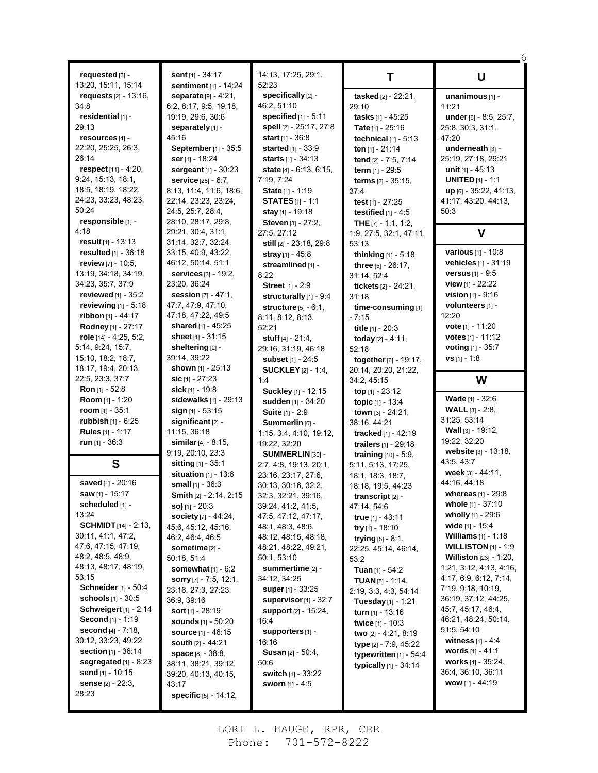| requested [3] -                                   | Ş              |
|---------------------------------------------------|----------------|
| 13:20, 15:11, 15:14                               | ţ              |
| requests [2] - 13:16,                             |                |
| 34.8                                              | 6:             |
| residential [1] -                                 | 19             |
| 29:13                                             | ţ              |
| resources [4] -                                   | 4              |
| 22:20, 25:25, 26:3,                               | ļ              |
| 26:14                                             |                |
| <b>respect</b> [11] - 4:20,<br>9:24, 15:13, 18:1, |                |
| 18:5, 18:19, 18:22,                               | ŗ              |
| 24:23, 33:23, 48:23,                              | 8:<br>22       |
| 50:24                                             | 2،             |
| responsible [1] -                                 | 28             |
| 4:18                                              | 29             |
| <b>result</b> [1] - 13:13                         | 3.             |
| resulted [1] - 36:18                              | 3.             |
| review [7] - 10:5,                                | 46             |
| 13:19, 34:18, 34:19,                              | ţ              |
| 34:23, 35:7, 37:9                                 | 2.             |
| reviewed [1] - 35:2                               |                |
| reviewing $[1] - 5:18$                            | $\overline{4}$ |
| <b>ribbon</b> [1] - 44:17                         | 4              |
| Rodney [1] - 27:17                                | Ş              |
| role [14] - 4:25, 5:2,                            | Ş              |
| 5:14, 9:24, 15:7,                                 | ļ<br>39        |
| 15:10, 18:2, 18:7,                                |                |
|                                                   |                |
| 18:17, 19:4, 20:13,                               | ţ              |
| 22:5, 23:3, 37:7                                  | ţ              |
| Ron [1] - 52:8                                    | Ş<br>ţ         |
| Room [1] - 1:20<br>room [1] - 35:1                |                |
| <b>rubbish</b> [1] - 6:25                         |                |
| <b>Rules</b> [1] - 1:17                           | $\mathbf{1}$   |
| run [1] - 36:3                                    | Ş              |
|                                                   | 9:             |
| S                                                 | ţ              |
| saved [1] - 20:16                                 | Ş              |
| saw [1] - 15:17                                   | ţ<br>í         |
| scheduled [1] -                                   |                |
| 13:24                                             |                |
| <b>SCHMIDT</b> $[14] - 2:13$                      | 4              |
| 30:11, 41:1, 47:2,                                | 46             |
| 47:6, 47:15, 47:19,                               | ţ              |
| 48:2, 48:5, 48:9,                                 | 50             |
| 48:13, 48:17, 48:19,                              |                |
| 53:15                                             | ŗ              |
| <b>Schneider</b> [1] - 50:4                       | 2.             |
| schools [1] - 30:5                                | 36             |
| <b>Schweigert</b> [1] - 2:14                      | Ş              |
| Second [1] - 1:19                                 | Ş              |
| second [4] - 7:18,<br>30:12, 33:23, 49:22         | Ş              |
| section [1] - 36:14                               | ļ<br>ļ         |
| segregated $[1]$ - 8:23                           | 38             |
| send [1] - 10:15                                  | 39             |
| sense [2] - 22:3,<br>28:23                        | 4.             |

**sent** [1] - 34:17 **sentiment** [1] - 14:24 **separate** [9] - 4:21, 6:2, 8:17, 9:5, 19:18, 19:19, 29:6, 30:6 **separately** [1] - 45:16 **September**[1] - 35:5 **ser**[1] - 18:24 **sergeant** [1] - 30:23 **service** [26] - 6:7, 8:13, 11:4, 11:6, 18:6, 22:14, 23:23, 23:24, 24:5, 25:7, 28:4, 28:10, 28:17, 29:8, 29:21, 30:4, 31:1, 31:14, 32:7, 32:24, 33:15, 40:9, 43:22, 46:12, 50:14, 51:1 **services** [3] - 19:2, 23:20, 36:24 **session** [7] - 47:1, 47:7, 47:9, 47:10, 47:18, 47:22, 49:5 **shared** [1] - 45:25 **sheet** [1] - 31:15 **sheltering** [2] - 39:14, 39:22 **shown** [1] - 25:13 **sic** [1] - 27:23 **sick** [1] - 19:8 **sidewalks** [1] - 29:13 **sign** [1] - 53:15 **significant** [2] - 11:15, 36:18 **similar**[4] - 8:15, 9:19, 20:10, 23:3 **sitting** [1] - 35:1 **situation** [1] - 13:6 **small** [1] - 36:3 **Smith** [2] - 2:14, 2:15 **so)** [1] - 20:3 **society** [7] - 44:24, 45:6, 45:12, 45:16, 46:2, 46:4, 46:5 **sometime** [2] - 50:18, 51:4 **somewhat** [1] - 6:2 **sorry** [7] - 7:5, 12:1, 23:16, 27:3, 27:23, 36:9, 39:16 **sort** [1] - 28:19 **sounds** [1] - 50:20 **source** [1] - 46:15 **south** [2] - 44:21 **space** [8] - 38:8, 38:11, 38:21, 39:12, 39:20, 40:13, 40:15,  $3:17$ **specific** [5] - 14:12,

14:13, 17:25, 29:1, 52:23 **specifically** [2] - 46:2, 51:10 **specified** [1] - 5:11 **spell** [2] - 25:17, 27:8 **start** [1] - 36:8 **started** [1] - 33:9 **starts** [1] - 34:13 **state** [4] - 6:13, 6:15, 7:19, 7:24 **State** [1] - 1:19 **STATES**[1] - 1:1 **stay** [1] - 19:18 **Steven** [3] - 27:2, 27:5, 27:12 **still** [2] - 23:18, 29:8 **stray** [1] - 45:8 **streamlined** [1] - 8:22 **Street** [1] - 2:9 **structurally** [1] - 9:4 **structure** [5] - 6:1, 8:11, 8:12, 8:13, 52:21 **stuff** [4] - 21:4, 29:16, 31:19, 46:18 **subset** [1] - 24:5 **SUCKLEY** [2] - 1:4, 1:4 **Suckley** [1] - 12:15 **sudden** [1] - 34:20 **Suite** [1] - 2:9 **Summerlin** [6] - 1:15, 3:4, 4:10, 19:12, 19:22, 32:20 **SUMMERLIN** [30] - 2:7, 4:8, 19:13, 20:1, 23:16, 23:17, 27:6, 30:13, 30:16, 32:2, 32:3, 32:21, 39:16, 39:24, 41:2, 41:5, 47:5, 47:12, 47:17, 48:1, 48:3, 48:6, 48:12, 48:15, 48:18, 48:21, 48:22, 49:21, 50:1, 53:10 **summertime** [2] - 34:12, 34:25 **super**[1] - 33:25 **supervisor**[1] - 32:7 **support** [2] - 15:24, 16:4 **supporters** [1] - 16:16 **Susan** [2] - 50:4, 50:6 **switch** [1] - 33:22 **sworn** [1] - 4:5

**T tasked** [2] - 22:21, 29:10 **tasks** [1] - 45:25 **Tate** [1] - 25:16 **technical** [1] - 5:13 **ten** [1] - 21:14 **tend** [2] - 7:5, 7:14 **term** [1] - 29:5 **terms** [2] - 35:15, 37:4 **test** [1] - 27:25 **testified** [1] - 4:5 **THE** [7] - 1:1, 1:2, 1:9, 27:5, 32:1, 47:11, 53:13 **thinking** [1] - 5:18 **three** [5] - 26:17, 31:14, 52:4 **tickets** [2] - 24:21, 31:18 **time-consuming** [1] - 7:15 **title** [1] - 20:3 **today** [2] - 4:11, 52:18 **together**[6] - 19:17, 20:14, 20:20, 21:22, 34:2, 45:15 **top** [1] - 23:12 **topic** [1] - 13:4 **town** [3] - 24:21, 38:16, 44:21 **tracked** [1] - 42:19 **trailers** [1] - 29:18 **training** [10] - 5:9, 5:11, 5:13, 17:25, 18:1, 18:3, 18:7, 18:18, 19:5, 44:23 **transcript** [2] - 47:14, 54:6 **true** [1] - 43:11 **try** [1] - 18:10 **trying** [5] - 8:1, 22:25, 45:14, 46:14, 53:2 **Tuan** [1] - 54:2 **TUAN** [5] - 1:14, 2:19, 3:3, 4:3, 54:14 **Tuesday** [1] - 1:21 **turn** [1] - 13:16 **twice** [1] - 10:3 **two** [2] - 4:21, 8:19 **type** [2] - 7:9, 45:22 **typewritten** [1] - 54:4 **typically** [1] - 34:14

6 **U unanimous** [1] - 11:21 **under** [6] - 8:5, 25:7, 25:8, 30:3, 31:1, 47:20 **underneath** [3] - 25:19, 27:18, 29:21 **unit** [1] - 45:13 **UNITED** [1] - 1:1 **up** [6] - 35:22, 41:13, 41:17, 43:20, 44:13, 50:3 **V various** [1] - 10:8 **vehicles** [1] - 31:19 **versus** [1] - 9:5 **view** [1] - 22:22 **vision** [1] - 9:16 **volunteers** [1] - 12:20 **vote** [1] - 11:20 **votes** [1] - 11:12 **voting** [1] - 35:7 **vs** [1] - 1:8 **W Wade** [1] - 32:6 **WALL** [3] - 2:8, 31:25, 53:14 **Wall** [3] - 19:12, 19:22, 32:20 **website** [3] - 13:18, 43:5, 43:7 **week** [3] - 44:11, 44:16, 44:18 **whereas** [1] - 29:8 **whole** [1] - 37:10 **wholly** [1] - 29:6 **wide** [1] - 15:4 **Williams** [1] - 1:18 **WILLISTON** [1] - 1:9 **Williston** [23] - 1:20, 1:21, 3:12, 4:13, 4:16, 4:17, 6:9, 6:12, 7:14, 7:19, 9:18, 10:19, 36:19, 37:12, 44:25, 45:7, 45:17, 46:4, 46:21, 48:24, 50:14, 51:5, 54:10 **witness** [1] - 4:4 **words** [1] - 41:1 **works** [4] - 35:24, 36:4, 36:10, 36:11 **wow** [1] - 44:19